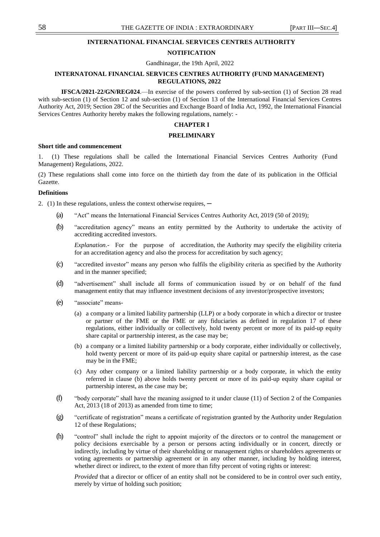# **INTERNATIONAL FINANCIAL SERVICES CENTRES AUTHORITY**

# **NOTIFICATION**

Gandhinagar, the 19th April, 2022

# **INTERNATONAL FINANCIAL SERVICES CENTRES AUTHORITY (FUND MANAGEMENT) REGULATIONS, 2022**

**IFSCA/2021-22/GN/REG024**.—In exercise of the powers conferred by sub-section (1) of Section 28 read with sub-section (1) of Section 12 and sub-section (1) of Section 13 of the International Financial Services Centres Authority Act, 2019; Section 28C of the Securities and Exchange Board of India Act, 1992, the International Financial Services Centres Authority hereby makes the following regulations, namely: -

# **CHAPTER I**

#### **PRELIMINARY**

#### **Short title and commencement**

1. (1) These regulations shall be called the International Financial Services Centres Authority (Fund Management) Regulations, 2022.

(2) These regulations shall come into force on the thirtieth day from the date of its publication in the Official Gazette.

#### **Definitions**

2. (1) In these regulations, unless the context otherwise requires, —

- (a) <sup>"Act"</sup> means the International Financial Services Centres Authority Act, 2019 (50 of 2019);
- (b) "accreditation agency" means an entity permitted by the Authority to undertake the activity of accrediting accredited investors.

*Explanation.-* For the purpose of accreditation, the Authority may specify the eligibility criteria for an accreditation agency and also the process for accreditation by such agency;

- (c) "accredited investor" means any person who fulfils the eligibility criteria as specified by the Authority and in the manner specified;
- (d) "advertisement" shall include all forms of communication issued by or on behalf of the fund management entity that may influence investment decisions of any investor/prospective investors;
- (e) "associate" means-
	- (a) a company or a limited liability partnership (LLP) or a body corporate in which a director or trustee or partner of the FME or the FME or any fiduciaries as defined in regulation 17 of these regulations, either individually or collectively, hold twenty percent or more of its paid-up equity share capital or partnership interest, as the case may be;
	- (b) a company or a limited liability partnership or a body corporate, either individually or collectively, hold twenty percent or more of its paid-up equity share capital or partnership interest, as the case may be in the FME;
	- (c) Any other company or a limited liability partnership or a body corporate, in which the entity referred in clause (b) above holds twenty percent or more of its paid-up equity share capital or partnership interest, as the case may be;
- (f)  $\degree$  "body corporate" shall have the meaning assigned to it under clause (11) of Section 2 of the Companies Act, 2013 (18 of 2013) as amended from time to time;
- $(g)$  "certificate of registration" means a certificate of registration granted by the Authority under Regulation 12 of these Regulations;
- (h) "control" shall include the right to appoint majority of the directors or to control the management or policy decisions exercisable by a person or persons acting individually or in concert, directly or indirectly, including by virtue of their shareholding or management rights or shareholders agreements or voting agreements or partnership agreement or in any other manner, including by holding interest, whether direct or indirect, to the extent of more than fifty percent of voting rights or interest:

*Provided* that a director or officer of an entity shall not be considered to be in control over such entity, merely by virtue of holding such position;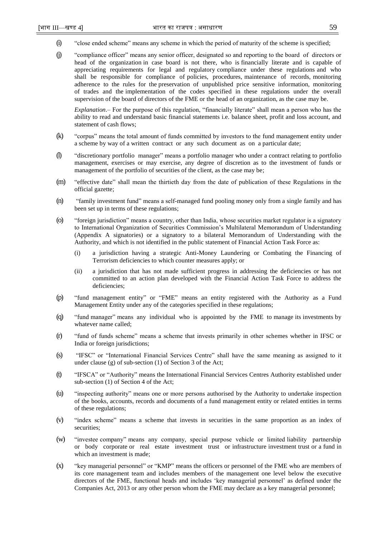- $(i)$  "close ended scheme" means any scheme in which the period of maturity of the scheme is specified;
- (j) "compliance officer" means any senior officer, designated so and reporting to the board of directors or head of the organization in case board is not there, who is financially literate and is capable of appreciating requirements for legal and regulatory compliance under these regulations and who shall be responsible for compliance of policies, procedures, maintenance of records, monitoring adherence to the rules for the preservation of unpublished price sensitive information, monitoring of trades and the implementation of the codes specified in these regulations under the overall supervision of the board of directors of the FME or the head of an organization, as the case may be.

*Explanation*.– For the purpose of this regulation, "financially literate" shall mean a person who has the ability to read and understand basic financial statements i.e. balance sheet, profit and loss account, and statement of cash flows;

- (k) "corpus" means the total amount of funds committed by investors to the fund management entity under a scheme by way of a written contract or any such document as on a particular date;
- (I) "discretionary portfolio manager" means a portfolio manager who under a contract relating to portfolio management, exercises or may exercise, any degree of discretion as to the investment of funds or management of the portfolio of securities of the client, as the case may be;
- (m) "effective date" shall mean the thirtieth day from the date of publication of these Regulations in the official gazette;
- (n) ―family investment fund‖ means a self-managed fund pooling money only from a single family and has been set up in terms of these regulations;
- (o) ―foreign jurisdiction‖ means a country, other than India, whose securities market regulator is a signatory to International Organization of Securities Commission's Multilateral Memorandum of Understanding (Appendix A signatories) or a signatory to a bilateral Memorandum of Understanding with the Authority, and which is not identified in the public statement of Financial Action Task Force as:
	- (i) a jurisdiction having a strategic Anti-Money Laundering or Combating the Financing of Terrorism deficiencies to which counter measures apply; or
	- (ii) a jurisdiction that has not made sufficient progress in addressing the deficiencies or has not committed to an action plan developed with the Financial Action Task Force to address the deficiencies;
- (p) "fund management entity" or "FME" means an entity registered with the Authority as a Fund Management Entity under any of the categories specified in these regulations;
- (q) ―fund manager‖ means any individual who is appointed by the FME to manage its investments by whatever name called;
- (r) ―fund of funds scheme‖ means a scheme that invests primarily in other schemes whether in IFSC or India or foreign jurisdictions;
- (s) "IFSC" or "International Financial Services Centre" shall have the same meaning as assigned to it under clause (g) of sub-section (1) of Section 3 of the Act;
- (t) 
"IFSCA" or "Authority" means the International Financial Services Centres Authority established under sub-section (1) of Section 4 of the Act;
- (u) "inspecting authority" means one or more persons authorised by the Authority to undertake inspection of the books, accounts, records and documents of a fund management entity or related entities in terms of these regulations;
- (v) "index scheme" means a scheme that invests in securities in the same proportion as an index of securities;
- (w) "investee company" means any company, special purpose vehicle or limited liability partnership or body corporate or real estate investment trust or infrastructure investment trust or a fund in which an investment is made;
- (x) "Sey managerial personnel" or "KMP" means the officers or personnel of the FME who are members of its core management team and includes members of the management one level below the executive directors of the FME, functional heads and includes ‗key managerial personnel' as defined under the Companies Act, 2013 or any other person whom the FME may declare as a key managerial personnel;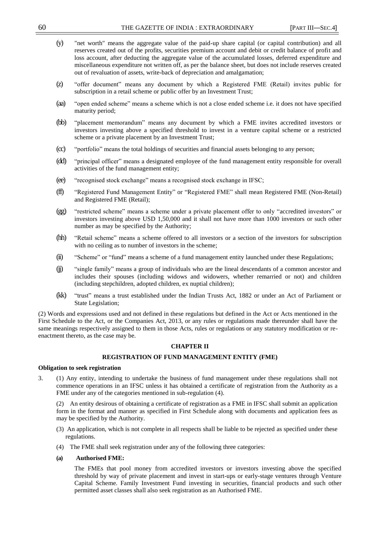- (y) "net worth" means the aggregate value of the paid-up share capital (or capital contribution) and all reserves created out of the profits, securities premium account and debit or credit balance of profit and loss account, after deducting the aggregate value of the accumulated losses, deferred expenditure and miscellaneous expenditure not written off, as per the balance sheet, but does not include reserves created out of revaluation of assets, write-back of depreciation and amalgamation;
- (z) "offer document" means any document by which a Registered FME (Retail) invites public for subscription in a retail scheme or public offer by an Investment Trust;
- (aa) "open ended scheme" means a scheme which is not a close ended scheme i.e. it does not have specified maturity period;
- (bb) "placement memorandum" means any document by which a FME invites accredited investors or investors investing above a specified threshold to invest in a venture capital scheme or a restricted scheme or a private placement by an Investment Trust;
- (cc) ―portfolio‖ means the total holdings of securities and financial assets belonging to any person;
- (dd) "principal officer" means a designated employee of the fund management entity responsible for overall activities of the fund management entity;
- (ee) "recognised stock exchange" means a recognised stock exchange in IFSC;
- (ff) 
"Registered Fund Management Entity" or "Registered FME" shall mean Registered FME (Non-Retail) and Registered FME (Retail);
- (gg) "restricted scheme" means a scheme under a private placement offer to only "accredited investors" or investors investing above USD 1,50,000 and it shall not have more than 1000 investors or such other number as may be specified by the Authority;
- (hh) "Retail scheme" means a scheme offered to all investors or a section of the investors for subscription with no ceiling as to number of investors in the scheme;
- (ii) "Scheme" or "fund" means a scheme of a fund management entity launched under these Regulations;
- (ii) "single family" means a group of individuals who are the lineal descendants of a common ancestor and includes their spouses (including widows and widowers, whether remarried or not) and children (including stepchildren, adopted children, ex nuptial children);
- (kk) "trust" means a trust established under the Indian Trusts Act, 1882 or under an Act of Parliament or State Legislation;

(2) Words and expressions used and not defined in these regulations but defined in the Act or Acts mentioned in the First Schedule to the Act, or the Companies Act, 2013, or any rules or regulations made thereunder shall have the same meanings respectively assigned to them in those Acts, rules or regulations or any statutory modification or reenactment thereto, as the case may be.

### **CHAPTER II**

#### **REGISTRATION OF FUND MANAGEMENT ENTITY (FME)**

#### **Obligation to seek registration**

3. (1) Any entity, intending to undertake the business of fund management under these regulations shall not commence operations in an IFSC unless it has obtained a certificate of registration from the Authority as a FME under any of the categories mentioned in sub-regulation (4).

(2) An entity desirous of obtaining a certificate of registration as a FME in IFSC shall submit an application form in the format and manner as specified in First Schedule along with documents and application fees as may be specified by the Authority.

- (3) An application, which is not complete in all respects shall be liable to be rejected as specified under these regulations.
- (4) The FME shall seek registration under any of the following three categories:
- **(a) Authorised FME:**

The FMEs that pool money from accredited investors or investors investing above the specified threshold by way of private placement and invest in start-ups or early-stage ventures through Venture Capital Scheme. Family Investment Fund investing in securities, financial products and such other permitted asset classes shall also seek registration as an Authorised FME.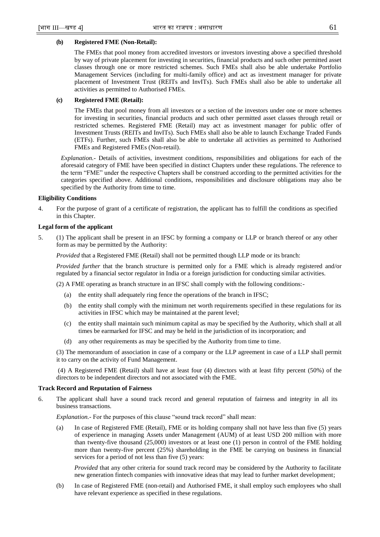# **(b) Registered FME (Non-Retail):**

The FMEs that pool money from accredited investors or investors investing above a specified threshold by way of private placement for investing in securities, financial products and such other permitted asset classes through one or more restricted schemes. Such FMEs shall also be able undertake Portfolio Management Services (including for multi-family office) and act as investment manager for private placement of Investment Trust (REITs and InvITs). Such FMEs shall also be able to undertake all activities as permitted to Authorised FMEs.

# **(c) Registered FME (Retail):**

The FMEs that pool money from all investors or a section of the investors under one or more schemes for investing in securities, financial products and such other permitted asset classes through retail or restricted schemes. Registered FME (Retail) may act as investment manager for public offer of Investment Trusts (REITs and InvITs). Such FMEs shall also be able to launch Exchange Traded Funds (ETFs). Further, such FMEs shall also be able to undertake all activities as permitted to Authorised FMEs and Registered FMEs (Non-retail).

*Explanation.-* Details of activities, investment conditions, responsibilities and obligations for each of the aforesaid category of FME have been specified in distinct Chapters under these regulations. The reference to the term "FME" under the respective Chapters shall be construed according to the permitted activities for the categories specified above. Additional conditions, responsibilities and disclosure obligations may also be specified by the Authority from time to time.

# **Eligibility Conditions**

4. For the purpose of grant of a certificate of registration, the applicant has to fulfill the conditions as specified in this Chapter.

# **Legal form of the applicant**

5. (1) The applicant shall be present in an IFSC by forming a company or LLP or branch thereof or any other form as may be permitted by the Authority:

*Provided* that a Registered FME (Retail) shall not be permitted though LLP mode or its branch:

*Provided further* that the branch structure is permitted only for a FME which is already registered and/or regulated by a financial sector regulator in India or a foreign jurisdiction for conducting similar activities.

(2) A FME operating as branch structure in an IFSC shall comply with the following conditions:-

- (a) the entity shall adequately ring fence the operations of the branch in IFSC;
- (b) the entity shall comply with the minimum net worth requirements specified in these regulations for its activities in IFSC which may be maintained at the parent level;
- (c) the entity shall maintain such minimum capital as may be specified by the Authority, which shall at all times be earmarked for IFSC and may be held in the jurisdiction of its incorporation; and
- (d) any other requirements as may be specified by the Authority from time to time.

(3) The memorandum of association in case of a company or the LLP agreement in case of a LLP shall permit it to carry on the activity of Fund Management.

(4) A Registered FME (Retail) shall have at least four (4) directors with at least fifty percent (50%) of the directors to be independent directors and not associated with the FME.

# **Track Record and Reputation of Fairness**

6. The applicant shall have a sound track record and general reputation of fairness and integrity in all its business transactions.

*Explanation.*- For the purposes of this clause "sound track record" shall mean:

(a) In case of Registered FME (Retail), FME or its holding company shall not have less than five (5) years of experience in managing Assets under Management (AUM) of at least USD 200 million with more than twenty-five thousand (25,000) investors or at least one (1) person in control of the FME holding more than twenty-five percent (25%) shareholding in the FME be carrying on business in financial services for a period of not less than five (5) years:

*Provided* that any other criteria for sound track record may be considered by the Authority to facilitate new generation fintech companies with innovative ideas that may lead to further market development;

(b) In case of Registered FME (non-retail) and Authorised FME, it shall employ such employees who shall have relevant experience as specified in these regulations.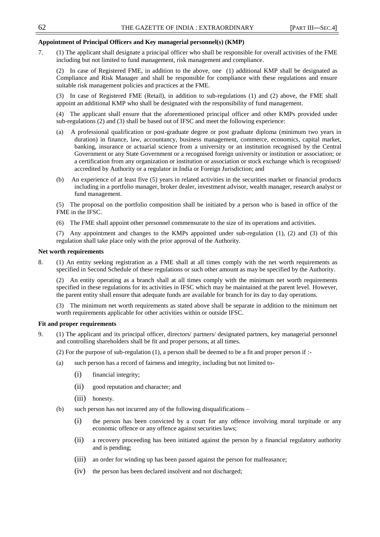# **Appointment of Principal Officers and Key managerial personnel(s) (KMP)**

7. (1) The applicant shall designate a principal officer who shall be responsible for overall activities of the FME including but not limited to fund management, risk management and compliance.

(2) In case of Registered FME, in addition to the above, one (1) additional KMP shall be designated as Compliance and Risk Manager and shall be responsible for compliance with these regulations and ensure suitable risk management policies and practices at the FME.

(3) In case of Registered FME (Retail), in addition to sub-regulations (1) and (2) above, the FME shall appoint an additional KMP who shall be designated with the responsibility of fund management.

(4) The applicant shall ensure that the aforementioned principal officer and other KMPs provided under sub-regulations (2) and (3) shall be based out of IFSC and meet the following experience:

- (a) A professional qualification or post-graduate degree or post graduate diploma (minimum two years in duration) in finance, law, accountancy, business management, commerce, economics, capital market, banking, insurance or actuarial science from a university or an institution recognised by the Central Government or any State Government or a recognised foreign university or institution or association; or a certification from any organization or institution or association or stock exchange which is recognised/ accredited by Authority or a regulator in India or Foreign Jurisdiction; and
- (b) An experience of at least five (5) years in related activities in the securities market or financial products including in a portfolio manager, broker dealer, investment advisor, wealth manager, research analyst or fund management.

(5) The proposal on the portfolio composition shall be initiated by a person who is based in office of the FME in the IFSC.

(6) The FME shall appoint other personnel commensurate to the size of its operations and activities.

(7) Any appointment and changes to the KMPs appointed under sub-regulation (1), (2) and (3) of this regulation shall take place only with the prior approval of the Authority.

#### **Net worth requirements**

8. (1) An entity seeking registration as a FME shall at all times comply with the net worth requirements as specified in Second Schedule of these regulations or such other amount as may be specified by the Authority.

(2) An entity operating as a branch shall at all times comply with the minimum net worth requirements specified in these regulations for its activities in IFSC which may be maintained at the parent level. However, the parent entity shall ensure that adequate funds are available for branch for its day to day operations.

(3) The minimum net worth requirements as stated above shall be separate in addition to the minimum net worth requirements applicable for other activities within or outside IFSC.

# **Fit and proper requirements**

- 9. (1) The applicant and its principal officer, directors/ partners/ designated partners, key managerial personnel and controlling shareholders shall be fit and proper persons, at all times.
	- (2) For the purpose of sub-regulation (1), a person shall be deemed to be a fit and proper person if :-
	- (a) such person has a record of fairness and integrity, including but not limited to-
		- (i) financial integrity;
		- (ii) good reputation and character; and
		- (iii) honesty.
	- (b) such person has not incurred any of the following disqualifications
		- (i) the person has been convicted by a court for any offence involving moral turpitude or any economic offence or any offence against securities laws;
		- (ii) a recovery proceeding has been initiated against the person by a financial regulatory authority and is pending;
		- (iii) an order for winding up has been passed against the person for malfeasance;
		- (iv) the person has been declared insolvent and not discharged;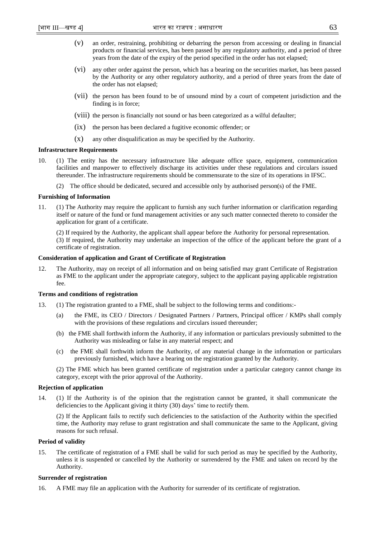- (v) an order, restraining, prohibiting or debarring the person from accessing or dealing in financial products or financial services, has been passed by any regulatory authority, and a period of three years from the date of the expiry of the period specified in the order has not elapsed;
- (vi) any other order against the person, which has a bearing on the securities market, has been passed by the Authority or any other regulatory authority, and a period of three years from the date of the order has not elapsed;
- (vii) the person has been found to be of unsound mind by a court of competent jurisdiction and the finding is in force;
- (viii) the person is financially not sound or has been categorized as a wilful defaulter;
- (ix) the person has been declared a fugitive economic offender; or
- (x) any other disqualification as may be specified by the Authority.

### **Infrastructure Requirements**

- 10. (1) The entity has the necessary infrastructure like adequate office space, equipment, communication facilities and manpower to effectively discharge its activities under these regulations and circulars issued thereunder. The infrastructure requirements should be commensurate to the size of its operations in IFSC.
	- (2) The office should be dedicated, secured and accessible only by authorised person(s) of the FME.

#### **Furnishing of Information**

11. (1) The Authority may require the applicant to furnish any such further information or clarification regarding itself or nature of the fund or fund management activities or any such matter connected thereto to consider the application for grant of a certificate.

(2) If required by the Authority, the applicant shall appear before the Authority for personal representation.

(3) If required, the Authority may undertake an inspection of the office of the applicant before the grant of a certificate of registration.

#### **Consideration of application and Grant of Certificate of Registration**

12. The Authority, may on receipt of all information and on being satisfied may grant Certificate of Registration as FME to the applicant under the appropriate category, subject to the applicant paying applicable registration fee.

#### **Terms and conditions of registration**

- 13. (1) The registration granted to a FME, shall be subject to the following terms and conditions:-
	- (a) the FME, its CEO / Directors / Designated Partners / Partners, Principal officer / KMPs shall comply with the provisions of these regulations and circulars issued thereunder;
	- (b) the FME shall forthwith inform the Authority, if any information or particulars previously submitted to the Authority was misleading or false in any material respect; and
	- (c) the FME shall forthwith inform the Authority, of any material change in the information or particulars previously furnished, which have a bearing on the registration granted by the Authority.

(2) The FME which has been granted certificate of registration under a particular category cannot change its category, except with the prior approval of the Authority.

#### **Rejection of application**

14. (1) If the Authority is of the opinion that the registration cannot be granted, it shall communicate the deficiencies to the Applicant giving it thirty (30) days' time to rectify them.

(2) If the Applicant fails to rectify such deficiencies to the satisfaction of the Authority within the specified time, the Authority may refuse to grant registration and shall communicate the same to the Applicant, giving reasons for such refusal.

# **Period of validity**

15. The certificate of registration of a FME shall be valid for such period as may be specified by the Authority, unless it is suspended or cancelled by the Authority or surrendered by the FME and taken on record by the Authority.

#### **Surrender of registration**

16. A FME may file an application with the Authority for surrender of its certificate of registration.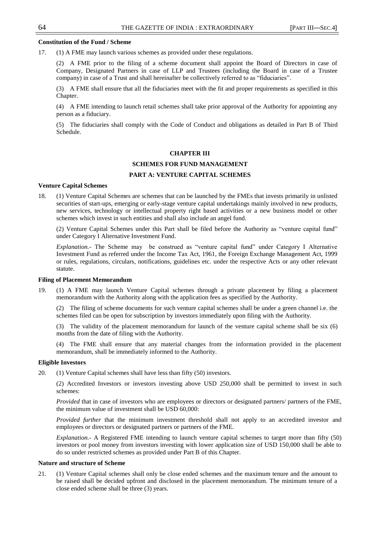#### **Constitution of the Fund / Scheme**

17. (1) A FME may launch various schemes as provided under these regulations.

(2) A FME prior to the filing of a scheme document shall appoint the Board of Directors in case of Company, Designated Partners in case of LLP and Trustees (including the Board in case of a Trustee company) in case of a Trust and shall hereinafter be collectively referred to as "fiduciaries".

(3) A FME shall ensure that all the fiduciaries meet with the fit and proper requirements as specified in this Chapter.

(4) A FME intending to launch retail schemes shall take prior approval of the Authority for appointing any person as a fiduciary.

(5) The fiduciaries shall comply with the Code of Conduct and obligations as detailed in Part B of Third Schedule.

#### **CHAPTER III**

# **SCHEMES FOR FUND MANAGEMENT**

### **PART A: VENTURE CAPITAL SCHEMES**

#### **Venture Capital Schemes**

18. (1) Venture Capital Schemes are schemes that can be launched by the FMEs that invests primarily in unlisted securities of start-ups, emerging or early-stage venture capital undertakings mainly involved in new products, new services, technology or intellectual property right based activities or a new business model or other schemes which invest in such entities and shall also include an angel fund.

(2) Venture Capital Schemes under this Part shall be filed before the Authority as "venture capital fund" under Category I Alternative Investment Fund.

*Explanation.*- The Scheme may be construed as "venture capital fund" under Category I Alternative Investment Fund as referred under the Income Tax Act, 1961, the Foreign Exchange Management Act, 1999 or rules, regulations, circulars, notifications, guidelines etc. under the respective Acts or any other relevant statute.

#### **Filing of Placement Memorandum**

19. (1) A FME may launch Venture Capital schemes through a private placement by filing a placement memorandum with the Authority along with the application fees as specified by the Authority.

(2) The filing of scheme documents for such venture capital schemes shall be under a green channel i.e. the schemes filed can be open for subscription by investors immediately upon filing with the Authority.

(3) The validity of the placement memorandum for launch of the venture capital scheme shall be six (6) months from the date of filing with the Authority.

(4) The FME shall ensure that any material changes from the information provided in the placement memorandum, shall be immediately informed to the Authority.

# **Eligible Investors**

20. (1) Venture Capital schemes shall have less than fifty (50) investors.

(2) Accredited Investors or investors investing above USD 250,000 shall be permitted to invest in such schemes:

*Provided* that in case of investors who are employees or directors or designated partners/ partners of the FME, the minimum value of investment shall be USD 60,000:

*Provided further* that the minimum investment threshold shall not apply to an accredited investor and employees or directors or designated partners or partners of the FME.

*Explanation.-* A Registered FME intending to launch venture capital schemes to target more than fifty (50) investors or pool money from investors investing with lower application size of USD 150,000 shall be able to do so under restricted schemes as provided under Part B of this Chapter.

#### **Nature and structure of Scheme**

21. (1) Venture Capital schemes shall only be close ended schemes and the maximum tenure and the amount to be raised shall be decided upfront and disclosed in the placement memorandum. The minimum tenure of a close ended scheme shall be three (3) years.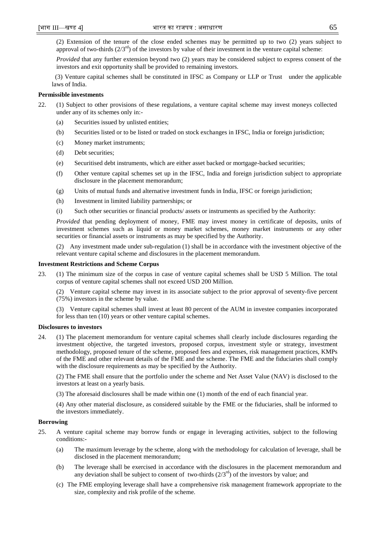(2) Extension of the tenure of the close ended schemes may be permitted up to two (2) years subject to approval of two-thirds  $(2/3<sup>rd</sup>)$  of the investors by value of their investment in the venture capital scheme:

*Provided* that any further extension beyond two (2) years may be considered subject to express consent of the investors and exit opportunity shall be provided to remaining investors.

 (3) Venture capital schemes shall be constituted in IFSC as Company or LLP or Trust under the applicable laws of India.

# **Permissible investments**

- 22. (1) Subject to other provisions of these regulations, a venture capital scheme may invest moneys collected under any of its schemes only in:-
	- (a) Securities issued by unlisted entities;
	- (b) Securities listed or to be listed or traded on stock exchanges in IFSC, India or foreign jurisdiction;
	- (c) Money market instruments;
	- (d) Debt securities;
	- (e) Securitised debt instruments, which are either asset backed or mortgage-backed securities;
	- (f) Other venture capital schemes set up in the IFSC, India and foreign jurisdiction subject to appropriate disclosure in the placement memorandum;
	- (g) Units of mutual funds and alternative investment funds in India, IFSC or foreign jurisdiction;
	- (h) Investment in limited liability partnerships; or
	- (i) Such other securities or financial products/ assets or instruments as specified by the Authority:

*Provided* that pending deployment of money, FME may invest money in certificate of deposits, units of investment schemes such as liquid or money market schemes, money market instruments or any other securities or financial assets or instruments as may be specified by the Authority.

(2) Any investment made under sub-regulation (1) shall be in accordance with the investment objective of the relevant venture capital scheme and disclosures in the placement memorandum.

# **Investment Restrictions and Scheme Corpus**

23. (1) The minimum size of the corpus in case of venture capital schemes shall be USD 5 Million. The total corpus of venture capital schemes shall not exceed USD 200 Million.

(2) Venture capital scheme may invest in its associate subject to the prior approval of seventy-five percent (75%) investors in the scheme by value.

(3) Venture capital schemes shall invest at least 80 percent of the AUM in investee companies incorporated for less than ten (10) years or other venture capital schemes.

# **Disclosures to investors**

24. (1) The placement memorandum for venture capital schemes shall clearly include disclosures regarding the investment objective, the targeted investors, proposed corpus, investment style or strategy, investment methodology, proposed tenure of the scheme, proposed fees and expenses, risk management practices, KMPs of the FME and other relevant details of the FME and the scheme. The FME and the fiduciaries shall comply with the disclosure requirements as may be specified by the Authority.

(2) The FME shall ensure that the portfolio under the scheme and Net Asset Value (NAV) is disclosed to the investors at least on a yearly basis.

(3) The aforesaid disclosures shall be made within one (1) month of the end of each financial year.

(4) Any other material disclosure, as considered suitable by the FME or the fiduciaries, shall be informed to the investors immediately.

# **Borrowing**

- 25. A venture capital scheme may borrow funds or engage in leveraging activities, subject to the following conditions:-
	- (a) The maximum leverage by the scheme, along with the methodology for calculation of leverage, shall be disclosed in the placement memorandum;
	- (b) The leverage shall be exercised in accordance with the disclosures in the placement memorandum and any deviation shall be subject to consent of two-thirds  $(2/3<sup>rd</sup>)$  of the investors by value; and
	- (c) The FME employing leverage shall have a comprehensive risk management framework appropriate to the size, complexity and risk profile of the scheme.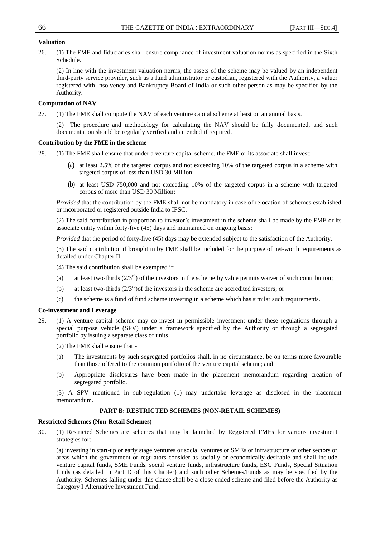# **Valuation**

26. (1) The FME and fiduciaries shall ensure compliance of investment valuation norms as specified in the Sixth Schedule.

(2) In line with the investment valuation norms, the assets of the scheme may be valued by an independent third-party service provider, such as a fund administrator or custodian, registered with the Authority, a valuer registered with Insolvency and Bankruptcy Board of India or such other person as may be specified by the Authority.

### **Computation of NAV**

27. (1) The FME shall compute the NAV of each venture capital scheme at least on an annual basis.

(2) The procedure and methodology for calculating the NAV should be fully documented, and such documentation should be regularly verified and amended if required.

#### **Contribution by the FME in the scheme**

- 28. (1) The FME shall ensure that under a venture capital scheme, the FME or its associate shall invest:-
	- (a) at least 2.5% of the targeted corpus and not exceeding 10% of the targeted corpus in a scheme with targeted corpus of less than USD 30 Million;
	- (b) at least USD 750,000 and not exceeding 10% of the targeted corpus in a scheme with targeted corpus of more than USD 30 Million:

*Provided* that the contribution by the FME shall not be mandatory in case of relocation of schemes established or incorporated or registered outside India to IFSC.

(2) The said contribution in proportion to investor's investment in the scheme shall be made by the FME or its associate entity within forty-five (45) days and maintained on ongoing basis:

*Provided* that the period of forty-five (45) days may be extended subject to the satisfaction of the Authority.

(3) The said contribution if brought in by FME shall be included for the purpose of net-worth requirements as detailed under Chapter II.

(4) The said contribution shall be exempted if:

- (a) at least two-thirds  $(2/3^{rd})$  of the investors in the scheme by value permits waiver of such contribution;
- (b) at least two-thirds  $(2/3<sup>rd</sup>)$  of the investors in the scheme are accredited investors; or
- (c) the scheme is a fund of fund scheme investing in a scheme which has similar such requirements.

### **Co-investment and Leverage**

- 29. (1) A venture capital scheme may co-invest in permissible investment under these regulations through a special purpose vehicle (SPV) under a framework specified by the Authority or through a segregated portfolio by issuing a separate class of units.
	- (2) The FME shall ensure that:-
	- (a) The investments by such segregated portfolios shall, in no circumstance, be on terms more favourable than those offered to the common portfolio of the venture capital scheme; and
	- (b) Appropriate disclosures have been made in the placement memorandum regarding creation of segregated portfolio.

(3) A SPV mentioned in sub-regulation (1) may undertake leverage as disclosed in the placement memorandum.

# **PART B: RESTRICTED SCHEMES (NON-RETAIL SCHEMES)**

#### **Restricted Schemes (Non-Retail Schemes)**

30. (1) Restricted Schemes are schemes that may be launched by Registered FMEs for various investment strategies for:-

(a) investing in start-up or early stage ventures or social ventures or SMEs or infrastructure or other sectors or areas which the government or regulators consider as socially or economically desirable and shall include venture capital funds, SME Funds, social venture funds, infrastructure funds, ESG Funds, Special Situation funds (as detailed in Part D of this Chapter) and such other Schemes/Funds as may be specified by the Authority. Schemes falling under this clause shall be a close ended scheme and filed before the Authority as Category I Alternative Investment Fund.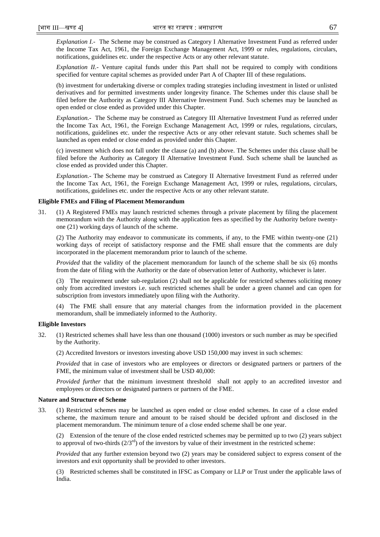*Explanation I.-* The Scheme may be construed as Category I Alternative Investment Fund as referred under the Income Tax Act, 1961, the Foreign Exchange Management Act, 1999 or rules, regulations, circulars, notifications, guidelines etc. under the respective Acts or any other relevant statute.

*Explanation II.-* Venture capital funds under this Part shall not be required to comply with conditions specified for venture capital schemes as provided under Part A of Chapter III of these regulations.

(b) investment for undertaking diverse or complex trading strategies including investment in listed or unlisted derivatives and for permitted investments under longevity finance. The Schemes under this clause shall be filed before the Authority as Category III Alternative Investment Fund. Such schemes may be launched as open ended or close ended as provided under this Chapter.

*Explanation.-* The Scheme may be construed as Category III Alternative Investment Fund as referred under the Income Tax Act, 1961, the Foreign Exchange Management Act, 1999 or rules, regulations, circulars, notifications, guidelines etc. under the respective Acts or any other relevant statute. Such schemes shall be launched as open ended or close ended as provided under this Chapter.

(c) investment which does not fall under the clause (a) and (b) above. The Schemes under this clause shall be filed before the Authority as Category II Alternative Investment Fund. Such scheme shall be launched as close ended as provided under this Chapter.

*Explanation.-* The Scheme may be construed as Category II Alternative Investment Fund as referred under the Income Tax Act, 1961, the Foreign Exchange Management Act, 1999 or rules, regulations, circulars, notifications, guidelines etc. under the respective Acts or any other relevant statute.

#### **Eligible FMEs and Filing of Placement Memorandum**

31. (1) A Registered FMEs may launch restricted schemes through a private placement by filing the placement memorandum with the Authority along with the application fees as specified by the Authority before twentyone (21) working days of launch of the scheme.

(2) The Authority may endeavor to communicate its comments, if any, to the FME within twenty-one (21) working days of receipt of satisfactory response and the FME shall ensure that the comments are duly incorporated in the placement memorandum prior to launch of the scheme.

*Provided* that the validity of the placement memorandum for launch of the scheme shall be six (6) months from the date of filing with the Authority or the date of observation letter of Authority, whichever is later.

(3) The requirement under sub-regulation (2) shall not be applicable for restricted schemes soliciting money only from accredited investors i.e. such restricted schemes shall be under a green channel and can open for subscription from investors immediately upon filing with the Authority.

(4) The FME shall ensure that any material changes from the information provided in the placement memorandum, shall be immediately informed to the Authority.

# **Eligible Investors**

32. (1) Restricted schemes shall have less than one thousand (1000) investors or such number as may be specified by the Authority.

(2) Accredited Investors or investors investing above USD 150,000 may invest in such schemes:

*Provided* that in case of investors who are employees or directors or designated partners or partners of the FME, the minimum value of investment shall be USD 40,000:

*Provided further* that the minimum investment threshold shall not apply to an accredited investor and employees or directors or designated partners or partners of the FME.

# **Nature and Structure of Scheme**

33. (1) Restricted schemes may be launched as open ended or close ended schemes. In case of a close ended scheme, the maximum tenure and amount to be raised should be decided upfront and disclosed in the placement memorandum. The minimum tenure of a close ended scheme shall be one year.

(2) Extension of the tenure of the close ended restricted schemes may be permitted up to two (2) years subject to approval of two-thirds  $(2/3<sup>rd</sup>)$  of the investors by value of their investment in the restricted scheme:

*Provided* that any further extension beyond two (2) years may be considered subject to express consent of the investors and exit opportunity shall be provided to other investors.

(3) Restricted schemes shall be constituted in IFSC as Company or LLP or Trust under the applicable laws of India.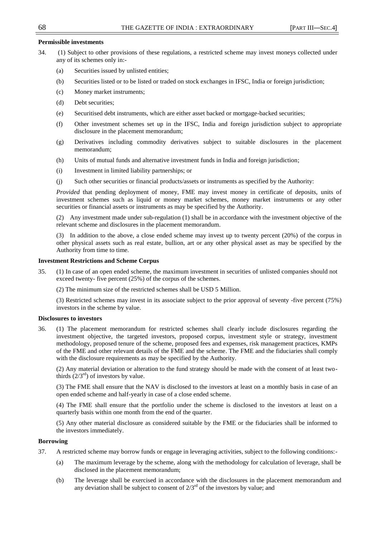# **Permissible investments**

- 34. (1) Subject to other provisions of these regulations, a restricted scheme may invest moneys collected under any of its schemes only in:-
	- (a) Securities issued by unlisted entities;
	- (b) Securities listed or to be listed or traded on stock exchanges in IFSC, India or foreign jurisdiction;
	- (c) Money market instruments;
	- (d) Debt securities;
	- (e) Securitised debt instruments, which are either asset backed or mortgage-backed securities;
	- (f) Other investment schemes set up in the IFSC, India and foreign jurisdiction subject to appropriate disclosure in the placement memorandum;
	- (g) Derivatives including commodity derivatives subject to suitable disclosures in the placement memorandum;
	- (h) Units of mutual funds and alternative investment funds in India and foreign jurisdiction;
	- (i) Investment in limited liability partnerships; or
	- (j) Such other securities or financial products/assets or instruments as specified by the Authority:

*Provided* that pending deployment of money, FME may invest money in certificate of deposits, units of investment schemes such as liquid or money market schemes, money market instruments or any other securities or financial assets or instruments as may be specified by the Authority.

(2) Any investment made under sub-regulation (1) shall be in accordance with the investment objective of the relevant scheme and disclosures in the placement memorandum.

(3) In addition to the above, a close ended scheme may invest up to twenty percent (20%) of the corpus in other physical assets such as real estate, bullion, art or any other physical asset as may be specified by the Authority from time to time.

### **Investment Restrictions and Scheme Corpus**

- 35. (1) In case of an open ended scheme, the maximum investment in securities of unlisted companies should not exceed twenty- five percent (25%) of the corpus of the schemes.
	- (2) The minimum size of the restricted schemes shall be USD 5 Million.

(3) Restricted schemes may invest in its associate subject to the prior approval of seventy -five percent (75%) investors in the scheme by value.

### **Disclosures to investors**

36. (1) The placement memorandum for restricted schemes shall clearly include disclosures regarding the investment objective, the targeted investors, proposed corpus, investment style or strategy, investment methodology, proposed tenure of the scheme, proposed fees and expenses, risk management practices, KMPs of the FME and other relevant details of the FME and the scheme. The FME and the fiduciaries shall comply with the disclosure requirements as may be specified by the Authority.

(2) Any material deviation or alteration to the fund strategy should be made with the consent of at least twothirds  $(2/3<sup>rd</sup>)$  of investors by value.

(3) The FME shall ensure that the NAV is disclosed to the investors at least on a monthly basis in case of an open ended scheme and half-yearly in case of a close ended scheme.

(4) The FME shall ensure that the portfolio under the scheme is disclosed to the investors at least on a quarterly basis within one month from the end of the quarter.

(5) Any other material disclosure as considered suitable by the FME or the fiduciaries shall be informed to the investors immediately.

### **Borrowing**

- 37. A restricted scheme may borrow funds or engage in leveraging activities, subject to the following conditions:-
	- (a) The maximum leverage by the scheme, along with the methodology for calculation of leverage, shall be disclosed in the placement memorandum;
	- (b) The leverage shall be exercised in accordance with the disclosures in the placement memorandum and any deviation shall be subject to consent of  $2/3<sup>rd</sup>$  of the investors by value; and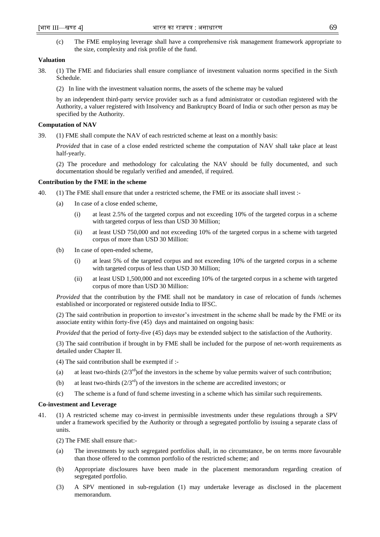(c) The FME employing leverage shall have a comprehensive risk management framework appropriate to the size, complexity and risk profile of the fund.

# **Valuation**

- 38. (1) The FME and fiduciaries shall ensure compliance of investment valuation norms specified in the Sixth Schedule.
	- (2) In line with the investment valuation norms, the assets of the scheme may be valued

by an independent third-party service provider such as a fund administrator or custodian registered with the Authority, a valuer registered with Insolvency and Bankruptcy Board of India or such other person as may be specified by the Authority.

### **Computation of NAV**

39. (1) FME shall compute the NAV of each restricted scheme at least on a monthly basis:

*Provided* that in case of a close ended restricted scheme the computation of NAV shall take place at least half-yearly.

(2) The procedure and methodology for calculating the NAV should be fully documented, and such documentation should be regularly verified and amended, if required.

#### **Contribution by the FME in the scheme**

- 40. (1) The FME shall ensure that under a restricted scheme, the FME or its associate shall invest :-
	- (a) In case of a close ended scheme,
		- (i) at least 2.5% of the targeted corpus and not exceeding 10% of the targeted corpus in a scheme with targeted corpus of less than USD 30 Million;
		- (ii) at least USD 750,000 and not exceeding 10% of the targeted corpus in a scheme with targeted corpus of more than USD 30 Million:
	- (b) In case of open-ended scheme,
		- (i) at least 5% of the targeted corpus and not exceeding 10% of the targeted corpus in a scheme with targeted corpus of less than USD 30 Million;
		- (ii) at least USD 1,500,000 and not exceeding 10% of the targeted corpus in a scheme with targeted corpus of more than USD 30 Million:

*Provided* that the contribution by the FME shall not be mandatory in case of relocation of funds /schemes established or incorporated or registered outside India to IFSC.

(2) The said contribution in proportion to investor's investment in the scheme shall be made by the FME or its associate entity within forty-five (45) days and maintained on ongoing basis:

*Provided* that the period of forty-five (45) days may be extended subject to the satisfaction of the Authority.

(3) The said contribution if brought in by FME shall be included for the purpose of net-worth requirements as detailed under Chapter II.

(4) The said contribution shall be exempted if :-

- (a) at least two-thirds  $(2/3<sup>rd</sup>)$  of the investors in the scheme by value permits waiver of such contribution;
- (b) at least two-thirds  $(2/3<sup>rd</sup>)$  of the investors in the scheme are accredited investors; or
- (c) The scheme is a fund of fund scheme investing in a scheme which has similar such requirements.

#### **Co-investment and Leverage**

41. (1) A restricted scheme may co-invest in permissible investments under these regulations through a SPV under a framework specified by the Authority or through a segregated portfolio by issuing a separate class of units.

(2) The FME shall ensure that:-

- (a) The investments by such segregated portfolios shall, in no circumstance, be on terms more favourable than those offered to the common portfolio of the restricted scheme; and
- (b) Appropriate disclosures have been made in the placement memorandum regarding creation of segregated portfolio.
- (3) A SPV mentioned in sub-regulation (1) may undertake leverage as disclosed in the placement memorandum.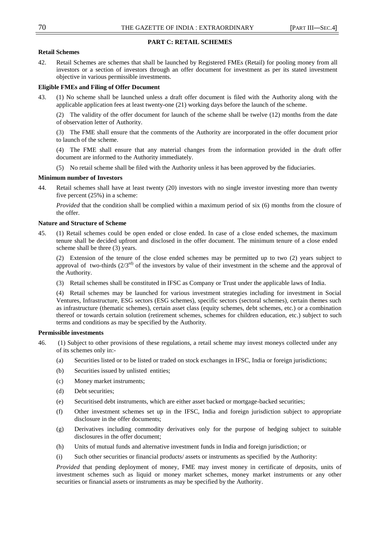# **PART C: RETAIL SCHEMES**

# **Retail Schemes**

42. Retail Schemes are schemes that shall be launched by Registered FMEs (Retail) for pooling money from all investors or a section of investors through an offer document for investment as per its stated investment objective in various permissible investments.

# **Eligible FMEs and Filing of Offer Document**

43. (1) No scheme shall be launched unless a draft offer document is filed with the Authority along with the applicable application fees at least twenty-one (21) working days before the launch of the scheme.

(2) The validity of the offer document for launch of the scheme shall be twelve (12) months from the date of observation letter of Authority.

(3) The FME shall ensure that the comments of the Authority are incorporated in the offer document prior to launch of the scheme.

(4) The FME shall ensure that any material changes from the information provided in the draft offer document are informed to the Authority immediately.

(5) No retail scheme shall be filed with the Authority unless it has been approved by the fiduciaries.

# **Minimum number of Investors**

44. Retail schemes shall have at least twenty (20) investors with no single investor investing more than twenty five percent (25%) in a scheme:

*Provided* that the condition shall be complied within a maximum period of six (6) months from the closure of the offer.

# **Nature and Structure of Scheme**

45. (1) Retail schemes could be open ended or close ended. In case of a close ended schemes, the maximum tenure shall be decided upfront and disclosed in the offer document. The minimum tenure of a close ended scheme shall be three (3) years.

(2) Extension of the tenure of the close ended schemes may be permitted up to two (2) years subject to approval of two-thirds  $(2/3<sup>rd</sup>)$  of the investors by value of their investment in the scheme and the approval of the Authority.

(3) Retail schemes shall be constituted in IFSC as Company or Trust under the applicable laws of India.

(4) Retail schemes may be launched for various investment strategies including for investment in Social Ventures, Infrastructure, ESG sectors (ESG schemes), specific sectors (sectoral schemes), certain themes such as infrastructure (thematic schemes), certain asset class (equity schemes, debt schemes, etc.) or a combination thereof or towards certain solution (retirement schemes, schemes for children education, etc.) subject to such terms and conditions as may be specified by the Authority.

# **Permissible investments**

- 46. (1) Subject to other provisions of these regulations, a retail scheme may invest moneys collected under any of its schemes only in:-
	- (a) Securities listed or to be listed or traded on stock exchanges in IFSC, India or foreign jurisdictions;
	- (b) Securities issued by unlisted entities;
	- (c) Money market instruments;
	- (d) Debt securities;
	- (e) Securitised debt instruments, which are either asset backed or mortgage-backed securities;
	- (f) Other investment schemes set up in the IFSC, India and foreign jurisdiction subject to appropriate disclosure in the offer documents;
	- (g) Derivatives including commodity derivatives only for the purpose of hedging subject to suitable disclosures in the offer document;
	- (h) Units of mutual funds and alternative investment funds in India and foreign jurisdiction; or
	- (i) Such other securities or financial products/ assets or instruments as specified by the Authority:

*Provided* that pending deployment of money, FME may invest money in certificate of deposits, units of investment schemes such as liquid or money market schemes, money market instruments or any other securities or financial assets or instruments as may be specified by the Authority.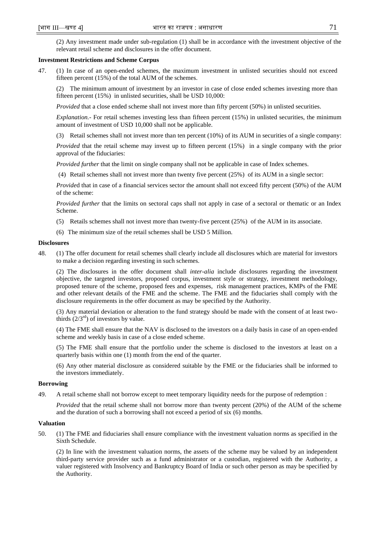(2) Any investment made under sub-regulation (1) shall be in accordance with the investment objective of the relevant retail scheme and disclosures in the offer document.

### **Investment Restrictions and Scheme Corpus**

47. (1) In case of an open-ended schemes, the maximum investment in unlisted securities should not exceed fifteen percent (15%) of the total AUM of the schemes.

(2) The minimum amount of investment by an investor in case of close ended schemes investing more than fifteen percent (15%) in unlisted securities, shall be USD 10,000:

*Provided* that a close ended scheme shall not invest more than fifty percent (50%) in unlisted securities.

*Explanation.-* For retail schemes investing less than fifteen percent (15%) in unlisted securities, the minimum amount of investment of USD 10,000 shall not be applicable.

(3) Retail schemes shall not invest more than ten percent (10%) of its AUM in securities of a single company:

*Provided* that the retail scheme may invest up to fifteen percent (15%) in a single company with the prior approval of the fiduciaries:

*Provided further* that the limit on single company shall not be applicable in case of Index schemes.

(4) Retail schemes shall not invest more than twenty five percent (25%) of its AUM in a single sector:

*Provide*d that in case of a financial services sector the amount shall not exceed fifty percent (50%) of the AUM of the scheme:

*Provided further* that the limits on sectoral caps shall not apply in case of a sectoral or thematic or an Index Scheme.

- (5) Retails schemes shall not invest more than twenty-five percent (25%) of the AUM in its associate.
- (6) The minimum size of the retail schemes shall be USD 5 Million.

#### **Disclosures**

48. (1) The offer document for retail schemes shall clearly include all disclosures which are material for investors to make a decision regarding investing in such schemes.

(2) The disclosures in the offer document shall *inter-alia* include disclosures regarding the investment objective, the targeted investors, proposed corpus, investment style or strategy, investment methodology, proposed tenure of the scheme, proposed fees and expenses, risk management practices, KMPs of the FME and other relevant details of the FME and the scheme. The FME and the fiduciaries shall comply with the disclosure requirements in the offer document as may be specified by the Authority.

(3) Any material deviation or alteration to the fund strategy should be made with the consent of at least twothirds  $(2/3<sup>rd</sup>)$  of investors by value.

(4) The FME shall ensure that the NAV is disclosed to the investors on a daily basis in case of an open-ended scheme and weekly basis in case of a close ended scheme.

(5) The FME shall ensure that the portfolio under the scheme is disclosed to the investors at least on a quarterly basis within one (1) month from the end of the quarter.

(6) Any other material disclosure as considered suitable by the FME or the fiduciaries shall be informed to the investors immediately.

#### **Borrowing**

49. A retail scheme shall not borrow except to meet temporary liquidity needs for the purpose of redemption :

*Provided* that the retail scheme shall not borrow more than twenty percent (20%) of the AUM of the scheme and the duration of such a borrowing shall not exceed a period of six (6) months.

# **Valuation**

50. (1) The FME and fiduciaries shall ensure compliance with the investment valuation norms as specified in the Sixth Schedule.

(2) In line with the investment valuation norms, the assets of the scheme may be valued by an independent third-party service provider such as a fund administrator or a custodian, registered with the Authority, a valuer registered with Insolvency and Bankruptcy Board of India or such other person as may be specified by the Authority.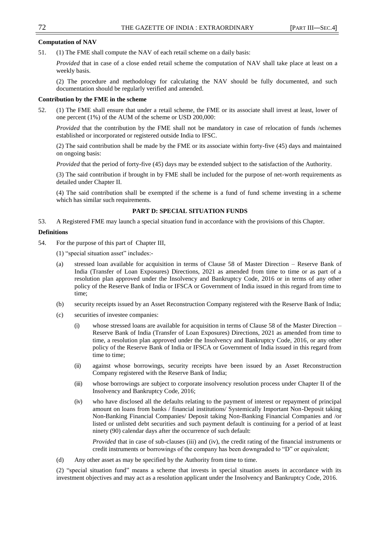### **Computation of NAV**

51. (1) The FME shall compute the NAV of each retail scheme on a daily basis:

*Provided* that in case of a close ended retail scheme the computation of NAV shall take place at least on a weekly basis.

(2) The procedure and methodology for calculating the NAV should be fully documented, and such documentation should be regularly verified and amended.

### **Contribution by the FME in the scheme**

52. (1) The FME shall ensure that under a retail scheme, the FME or its associate shall invest at least, lower of one percent (1%) of the AUM of the scheme or USD 200,000:

*Provided* that the contribution by the FME shall not be mandatory in case of relocation of funds /schemes established or incorporated or registered outside India to IFSC.

(2) The said contribution shall be made by the FME or its associate within forty-five (45) days and maintained on ongoing basis:

*Provided* that the period of forty-five (45) days may be extended subject to the satisfaction of the Authority.

(3) The said contribution if brought in by FME shall be included for the purpose of net-worth requirements as detailed under Chapter II.

(4) The said contribution shall be exempted if the scheme is a fund of fund scheme investing in a scheme which has similar such requirements.

#### **PART D: SPECIAL SITUATION FUNDS**

53. A Registered FME may launch a special situation fund in accordance with the provisions of this Chapter.

#### **Definitions**

54. For the purpose of this part of Chapter III,

 $(1)$  "special situation asset" includes:-

- (a) stressed loan available for acquisition in terms of Clause 58 of Master Direction Reserve Bank of India (Transfer of Loan Exposures) Directions, 2021 as amended from time to time or as part of a resolution plan approved under the Insolvency and Bankruptcy Code, 2016 or in terms of any other policy of the Reserve Bank of India or IFSCA or Government of India issued in this regard from time to time;
- (b) security receipts issued by an Asset Reconstruction Company registered with the Reserve Bank of India;
- (c) securities of investee companies:
	- (i) whose stressed loans are available for acquisition in terms of Clause 58 of the Master Direction Reserve Bank of India (Transfer of Loan Exposures) Directions, 2021 as amended from time to time, a resolution plan approved under the Insolvency and Bankruptcy Code, 2016, or any other policy of the Reserve Bank of India or IFSCA or Government of India issued in this regard from time to time;
	- (ii) against whose borrowings, security receipts have been issued by an Asset Reconstruction Company registered with the Reserve Bank of India;
	- (iii) whose borrowings are subject to corporate insolvency resolution process under Chapter II of the Insolvency and Bankruptcy Code, 2016;
	- (iv) who have disclosed all the defaults relating to the payment of interest or repayment of principal amount on loans from banks / financial institutions/ Systemically Important Non-Deposit taking Non-Banking Financial Companies/ Deposit taking Non-Banking Financial Companies and /or listed or unlisted debt securities and such payment default is continuing for a period of at least ninety (90) calendar days after the occurrence of such default:

*Provided* that in case of sub-clauses (iii) and (iv), the credit rating of the financial instruments or credit instruments or borrowings of the company has been downgraded to "D" or equivalent;

(d) Any other asset as may be specified by the Authority from time to time.

(2) "special situation fund" means a scheme that invests in special situation assets in accordance with its investment objectives and may act as a resolution applicant under the Insolvency and Bankruptcy Code, 2016.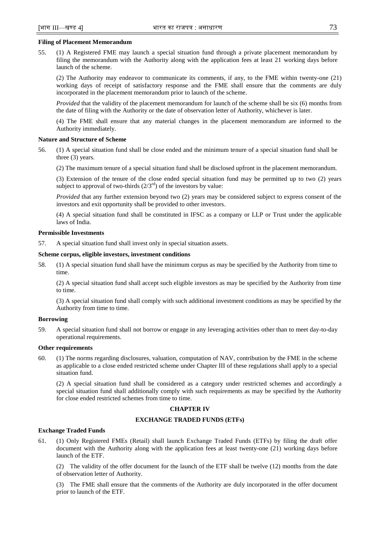# **Filing of Placement Memorandum**

55. (1) A Registered FME may launch a special situation fund through a private placement memorandum by filing the memorandum with the Authority along with the application fees at least 21 working days before launch of the scheme.

(2) The Authority may endeavor to communicate its comments, if any, to the FME within twenty-one (21) working days of receipt of satisfactory response and the FME shall ensure that the comments are duly incorporated in the placement memorandum prior to launch of the scheme.

*Provided* that the validity of the placement memorandum for launch of the scheme shall be six (6) months from the date of filing with the Authority or the date of observation letter of Authority, whichever is later.

(4) The FME shall ensure that any material changes in the placement memorandum are informed to the Authority immediately.

### **Nature and Structure of Scheme**

- 56. (1) A special situation fund shall be close ended and the minimum tenure of a special situation fund shall be three (3) years.
	- (2) The maximum tenure of a special situation fund shall be disclosed upfront in the placement memorandum.

(3) Extension of the tenure of the close ended special situation fund may be permitted up to two (2) years subject to approval of two-thirds  $(2/3<sup>rd</sup>)$  of the investors by value:

*Provided* that any further extension beyond two (2) years may be considered subject to express consent of the investors and exit opportunity shall be provided to other investors.

(4) A special situation fund shall be constituted in IFSC as a company or LLP or Trust under the applicable laws of India.

# **Permissible Investments**

57. A special situation fund shall invest only in special situation assets.

# **Scheme corpus, eligible investors, investment conditions**

58. (1) A special situation fund shall have the minimum corpus as may be specified by the Authority from time to time.

(2) A special situation fund shall accept such eligible investors as may be specified by the Authority from time to time.

(3) A special situation fund shall comply with such additional investment conditions as may be specified by the Authority from time to time.

# **Borrowing**

59. A special situation fund shall not borrow or engage in any leveraging activities other than to meet day-to-day operational requirements.

### **Other requirements**

60. (1) The norms regarding disclosures, valuation, computation of NAV, contribution by the FME in the scheme as applicable to a close ended restricted scheme under Chapter III of these regulations shall apply to a special situation fund.

(2) A special situation fund shall be considered as a category under restricted schemes and accordingly a special situation fund shall additionally comply with such requirements as may be specified by the Authority for close ended restricted schemes from time to time.

#### **CHAPTER IV**

#### **EXCHANGE TRADED FUNDS (ETFs)**

#### **Exchange Traded Funds**

61. (1) Only Registered FMEs (Retail) shall launch Exchange Traded Funds (ETFs) by filing the draft offer document with the Authority along with the application fees at least twenty-one (21) working days before launch of the ETF.

(2) The validity of the offer document for the launch of the ETF shall be twelve (12) months from the date of observation letter of Authority.

(3) The FME shall ensure that the comments of the Authority are duly incorporated in the offer document prior to launch of the ETF.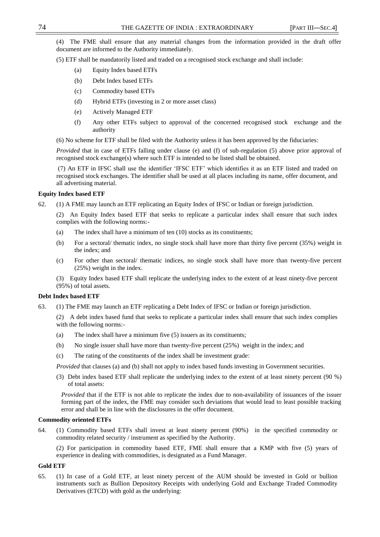(4) The FME shall ensure that any material changes from the information provided in the draft offer document are informed to the Authority immediately.

(5) ETF shall be mandatorily listed and traded on a recognised stock exchange and shall include:

- (a) Equity Index based ETFs
- (b) Debt Index based ETFs
- (c) Commodity based ETFs
- (d) Hybrid ETFs (investing in 2 or more asset class)
- (e) Actively Managed ETF
- (f) Any other ETFs subject to approval of the concerned recognised stock exchange and the authority

(6) No scheme for ETF shall be filed with the Authority unless it has been approved by the fiduciaries:

*Provided* that in case of ETFs falling under clause (e) and (f) of sub-regulation (5) above prior approval of recognised stock exchange(s) where such ETF is intended to be listed shall be obtained.

(7) An ETF in IFSC shall use the identifier ‗IFSC ETF' which identifies it as an ETF listed and traded on recognised stock exchanges. The identifier shall be used at all places including its name, offer document, and all advertising material.

# **Equity Index based ETF**

62. (1) A FME may launch an ETF replicating an Equity Index of IFSC or Indian or foreign jurisdiction.

(2) An Equity Index based ETF that seeks to replicate a particular index shall ensure that such index complies with the following norms:-

- (a) The index shall have a minimum of ten (10) stocks as its constituents;
- (b) For a sectoral/ thematic index, no single stock shall have more than thirty five percent (35%) weight in the index; and
- (c) For other than sectoral/ thematic indices, no single stock shall have more than twenty-five percent (25%) weight in the index.

(3) Equity Index based ETF shall replicate the underlying index to the extent of at least ninety-five percent (95%) of total assets.

# **Debt Index based ETF**

63. (1) The FME may launch an ETF replicating a Debt Index of IFSC or Indian or foreign jurisdiction.

(2) A debt index based fund that seeks to replicate a particular index shall ensure that such index complies with the following norms:-

- (a) The index shall have a minimum five (5) issuers as its constituents;
- (b) No single issuer shall have more than twenty-five percent (25%) weight in the index; and
- (c) The rating of the constituents of the index shall be investment grade:

*Provided* that clauses (a) and (b) shall not apply to index based funds investing in Government securities.

(3) Debt index based ETF shall replicate the underlying index to the extent of at least ninety percent (90 %) of total assets:

*Provided* that if the ETF is not able to replicate the index due to non-availability of issuances of the issuer forming part of the index, the FME may consider such deviations that would lead to least possible tracking error and shall be in line with the disclosures in the offer document.

### **Commodity oriented ETFs**

64. (1) Commodity based ETFs shall invest at least ninety percent (90%) in the specified commodity or commodity related security / instrument as specified by the Authority.

(2) For participation in commodity based ETF, FME shall ensure that a KMP with five (5) years of experience in dealing with commodities, is designated as a Fund Manager.

#### **Gold ETF**

65. (1) In case of a Gold ETF, at least ninety percent of the AUM should be invested in Gold or bullion instruments such as Bullion Depository Receipts with underlying Gold and Exchange Traded Commodity Derivatives (ETCD) with gold as the underlying: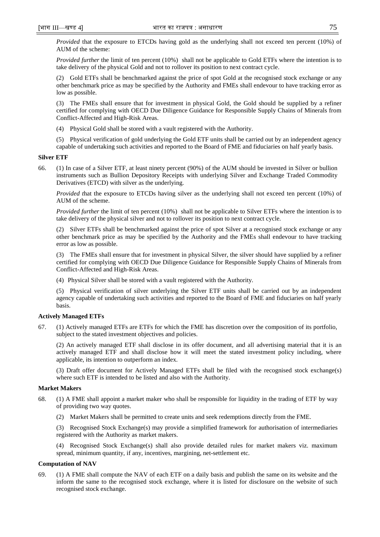*Provided* that the exposure to ETCDs having gold as the underlying shall not exceed ten percent (10%) of AUM of the scheme:

*Provided further* the limit of ten percent (10%) shall not be applicable to Gold ETFs where the intention is to take delivery of the physical Gold and not to rollover its position to next contract cycle.

(2) Gold ETFs shall be benchmarked against the price of spot Gold at the recognised stock exchange or any other benchmark price as may be specified by the Authority and FMEs shall endevour to have tracking error as low as possible.

(3) The FMEs shall ensure that for investment in physical Gold, the Gold should be supplied by a refiner certified for complying with OECD Due Diligence Guidance for Responsible Supply Chains of Minerals from Conflict-Affected and High-Risk Areas.

(4) Physical Gold shall be stored with a vault registered with the Authority.

(5) Physical verification of gold underlying the Gold ETF units shall be carried out by an independent agency capable of undertaking such activities and reported to the Board of FME and fiduciaries on half yearly basis.

#### **Silver ETF**

66. (1) In case of a Silver ETF, at least ninety percent (90%) of the AUM should be invested in Silver or bullion instruments such as Bullion Depository Receipts with underlying Silver and Exchange Traded Commodity Derivatives (ETCD) with silver as the underlying.

*Provided that the exposure to ETCDs having silver as the underlying shall not exceed ten percent (10%) of* AUM of the scheme.

*Provided further* the limit of ten percent (10%) shall not be applicable to Silver ETFs where the intention is to take delivery of the physical silver and not to rollover its position to next contract cycle.

(2) Silver ETFs shall be benchmarked against the price of spot Silver at a recognised stock exchange or any other benchmark price as may be specified by the Authority and the FMEs shall endevour to have tracking error as low as possible.

(3) The FMEs shall ensure that for investment in physical Silver, the silver should have supplied by a refiner certified for complying with OECD Due Diligence Guidance for Responsible Supply Chains of Minerals from Conflict-Affected and High-Risk Areas.

(4) Physical Silver shall be stored with a vault registered with the Authority.

(5) Physical verification of silver underlying the Silver ETF units shall be carried out by an independent agency capable of undertaking such activities and reported to the Board of FME and fiduciaries on half yearly basis.

### **Actively Managed ETFs**

67. (1) Actively managed ETFs are ETFs for which the FME has discretion over the composition of its portfolio, subject to the stated investment objectives and policies.

(2) An actively managed ETF shall disclose in its offer document, and all advertising material that it is an actively managed ETF and shall disclose how it will meet the stated investment policy including, where applicable, its intention to outperform an index.

(3) Draft offer document for Actively Managed ETFs shall be filed with the recognised stock exchange(s) where such ETF is intended to be listed and also with the Authority.

# **Market Makers**

- 68. (1) A FME shall appoint a market maker who shall be responsible for liquidity in the trading of ETF by way of providing two way quotes.
	- (2) Market Makers shall be permitted to create units and seek redemptions directly from the FME.

(3) Recognised Stock Exchange(s) may provide a simplified framework for authorisation of intermediaries registered with the Authority as market makers.

(4) Recognised Stock Exchange(s) shall also provide detailed rules for market makers viz. maximum spread, minimum quantity, if any, incentives, margining, net-settlement etc.

# **Computation of NAV**

69. (1) A FME shall compute the NAV of each ETF on a daily basis and publish the same on its website and the inform the same to the recognised stock exchange, where it is listed for disclosure on the website of such recognised stock exchange.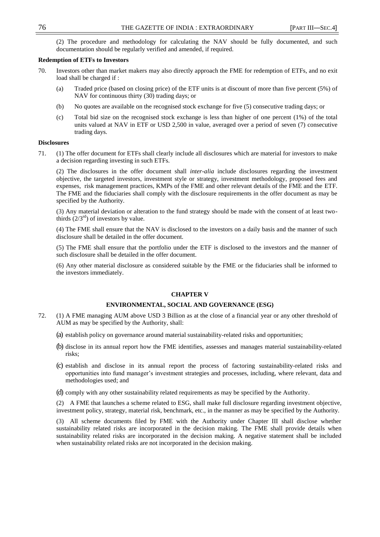(2) The procedure and methodology for calculating the NAV should be fully documented, and such documentation should be regularly verified and amended, if required.

### **Redemption of ETFs to Investors**

- 70. Investors other than market makers may also directly approach the FME for redemption of ETFs, and no exit load shall be charged if :
	- (a) Traded price (based on closing price) of the ETF units is at discount of more than five percent (5%) of NAV for continuous thirty (30) trading days; or
	- (b) No quotes are available on the recognised stock exchange for five (5) consecutive trading days; or
	- (c) Total bid size on the recognised stock exchange is less than higher of one percent (1%) of the total units valued at NAV in ETF or USD 2,500 in value, averaged over a period of seven (7) consecutive trading days.

#### **Disclosures**

71. (1) The offer document for ETFs shall clearly include all disclosures which are material for investors to make a decision regarding investing in such ETFs.

(2) The disclosures in the offer document shall *inter-alia* include disclosures regarding the investment objective, the targeted investors, investment style or strategy, investment methodology, proposed fees and expenses, risk management practices, KMPs of the FME and other relevant details of the FME and the ETF. The FME and the fiduciaries shall comply with the disclosure requirements in the offer document as may be specified by the Authority.

(3) Any material deviation or alteration to the fund strategy should be made with the consent of at least twothirds  $(2/3<sup>rd</sup>)$  of investors by value.

(4) The FME shall ensure that the NAV is disclosed to the investors on a daily basis and the manner of such disclosure shall be detailed in the offer document.

(5) The FME shall ensure that the portfolio under the ETF is disclosed to the investors and the manner of such disclosure shall be detailed in the offer document.

(6) Any other material disclosure as considered suitable by the FME or the fiduciaries shall be informed to the investors immediately.

# **CHAPTER V**

# **ENVIRONMENTAL, SOCIAL AND GOVERNANCE (ESG)**

- 72. (1) A FME managing AUM above USD 3 Billion as at the close of a financial year or any other threshold of AUM as may be specified by the Authority, shall:
	- (a) establish policy on governance around material sustainability-related risks and opportunities;
	- (b) disclose in its annual report how the FME identifies, assesses and manages material sustainability-related risks;
	- (c) establish and disclose in its annual report the process of factoring sustainability-related risks and opportunities into fund manager's investment strategies and processes, including, where relevant, data and methodologies used; and
	- (d) comply with any other sustainability related requirements as may be specified by the Authority.

(2) A FME that launches a scheme related to ESG, shall make full disclosure regarding investment objective, investment policy, strategy, material risk, benchmark, etc., in the manner as may be specified by the Authority.

(3) All scheme documents filed by FME with the Authority under Chapter III shall disclose whether sustainability related risks are incorporated in the decision making. The FME shall provide details when sustainability related risks are incorporated in the decision making. A negative statement shall be included when sustainability related risks are not incorporated in the decision making.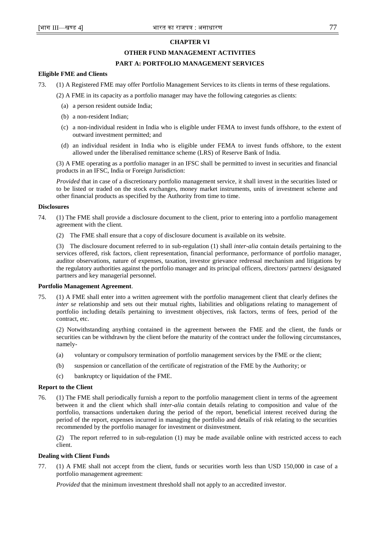# **CHAPTER VI**

# **OTHER FUND MANAGEMENT ACTIVITIES**

# **PART A: PORTFOLIO MANAGEMENT SERVICES**

# **Eligible FME and Clients**

73. (1) A Registered FME may offer Portfolio Management Services to its clients in terms of these regulations.

(2) A FME in its capacity as a portfolio manager may have the following categories as clients:

- (a) a person resident outside India;
- (b) a non-resident Indian;
- (c) a non-individual resident in India who is eligible under FEMA to invest funds offshore, to the extent of outward investment permitted; and
- (d) an individual resident in India who is eligible under FEMA to invest funds offshore, to the extent allowed under the liberalised remittance scheme (LRS) of Reserve Bank of India.

(3) A FME operating as a portfolio manager in an IFSC shall be permitted to invest in securities and financial products in an IFSC, India or Foreign Jurisdiction:

*Provided* that in case of a discretionary portfolio management service, it shall invest in the securities listed or to be listed or traded on the stock exchanges, money market instruments, units of investment scheme and other financial products as specified by the Authority from time to time.

# **Disclosures**

- 74. (1) The FME shall provide a disclosure document to the client, prior to entering into a portfolio management agreement with the client.
	- (2) The FME shall ensure that a copy of disclosure document is available on its website.

(3) The disclosure document referred to in sub-regulation (1) shall *inter-alia* contain details pertaining to the services offered, risk factors, client representation, financial performance, performance of portfolio manager, auditor observations, nature of expenses, taxation, investor grievance redressal mechanism and litigations by the regulatory authorities against the portfolio manager and its principal officers, directors/ partners/ designated partners and key managerial personnel.

# **Portfolio Management Agreement**.

75. (1) A FME shall enter into a written agreement with the portfolio management client that clearly defines the *inter se* relationship and sets out their mutual rights, liabilities and obligations relating to management of portfolio including details pertaining to investment objectives, risk factors, terms of fees, period of the contract, etc.

(2) Notwithstanding anything contained in the agreement between the FME and the client, the funds or securities can be withdrawn by the client before the maturity of the contract under the following circumstances, namely-

- (a) voluntary or compulsory termination of portfolio management services by the FME or the client;
- (b) suspension or cancellation of the certificate of registration of the FME by the Authority; or
- (c) bankruptcy or liquidation of the FME.

# **Report to the Client**

76. (1) The FME shall periodically furnish a report to the portfolio management client in terms of the agreement between it and the client which shall *inter-alia* contain details relating to composition and value of the portfolio, transactions undertaken during the period of the report, beneficial interest received during the period of the report, expenses incurred in managing the portfolio and details of risk relating to the securities recommended by the portfolio manager for investment or disinvestment.

(2) The report referred to in sub-regulation (1) may be made available online with restricted access to each client.

# **Dealing with Client Funds**

77. (1) A FME shall not accept from the client, funds or securities worth less than USD 150,000 in case of a portfolio management agreement:

*Provided* that the minimum investment threshold shall not apply to an accredited investor.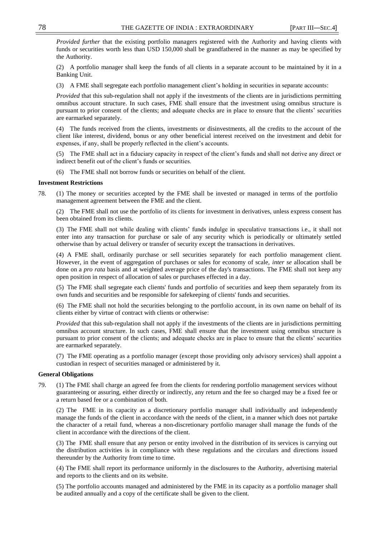*Provided further* that the existing portfolio managers registered with the Authority and having clients with funds or securities worth less than USD 150,000 shall be grandfathered in the manner as may be specified by the Authority.

(2) A portfolio manager shall keep the funds of all clients in a separate account to be maintained by it in a Banking Unit.

(3) A FME shall segregate each portfolio management client's holding in securities in separate accounts:

*Provided* that this sub-regulation shall not apply if the investments of the clients are in jurisdictions permitting omnibus account structure. In such cases, FME shall ensure that the investment using omnibus structure is pursuant to prior consent of the clients; and adequate checks are in place to ensure that the clients' securities are earmarked separately.

(4) The funds received from the clients, investments or disinvestments, all the credits to the account of the client like interest, dividend, bonus or any other beneficial interest received on the investment and debit for expenses, if any, shall be properly reflected in the client's accounts.

(5) The FME shall act in a fiduciary capacity in respect of the client's funds and shall not derive any direct or indirect benefit out of the client's funds or securities.

(6) The FME shall not borrow funds or securities on behalf of the client.

### **Investment Restrictions**

78. (1) The money or securities accepted by the FME shall be invested or managed in terms of the portfolio management agreement between the FME and the client.

(2) The FME shall not use the portfolio of its clients for investment in derivatives, unless express consent has been obtained from its clients.

(3) The FME shall not while dealing with clients' funds indulge in speculative transactions i.e., it shall not enter into any transaction for purchase or sale of any security which is periodically or ultimately settled otherwise than by actual delivery or transfer of security except the transactions in derivatives.

(4) A FME shall, ordinarily purchase or sell securities separately for each portfolio management client. However, in the event of aggregation of purchases or sales for economy of scale, *inter se* allocation shall be done on a *pro rata* basis and at weighted average price of the day's transactions. The FME shall not keep any open position in respect of allocation of sales or purchases effected in a day.

(5) The FME shall segregate each clients' funds and portfolio of securities and keep them separately from its own funds and securities and be responsible for safekeeping of clients' funds and securities.

(6) The FME shall not hold the securities belonging to the portfolio account, in its own name on behalf of its clients either by virtue of contract with clients or otherwise:

*Provided* that this sub-regulation shall not apply if the investments of the clients are in jurisdictions permitting omnibus account structure. In such cases, FME shall ensure that the investment using omnibus structure is pursuant to prior consent of the clients; and adequate checks are in place to ensure that the clients' securities are earmarked separately.

(7) The FME operating as a portfolio manager (except those providing only advisory services) shall appoint a custodian in respect of securities managed or administered by it.

#### **General Obligations**

79. (1) The FME shall charge an agreed fee from the clients for rendering portfolio management services without guaranteeing or assuring, either directly or indirectly, any return and the fee so charged may be a fixed fee or a return based fee or a combination of both.

(2) The FME in its capacity as a discretionary portfolio manager shall individually and independently manage the funds of the client in accordance with the needs of the client, in a manner which does not partake the character of a retail fund, whereas a non-discretionary portfolio manager shall manage the funds of the client in accordance with the directions of the client.

(3) The FME shall ensure that any person or entity involved in the distribution of its services is carrying out the distribution activities is in compliance with these regulations and the circulars and directions issued thereunder by the Authority from time to time.

(4) The FME shall report its performance uniformly in the disclosures to the Authority, advertising material and reports to the clients and on its website.

(5) The portfolio accounts managed and administered by the FME in its capacity as a portfolio manager shall be audited annually and a copy of the certificate shall be given to the client.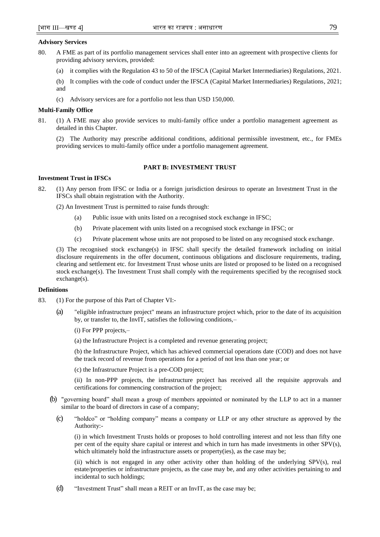### **Advisory Services**

- 80. A FME as part of its portfolio management services shall enter into an agreement with prospective clients for providing advisory services, provided:
	- (a) it complies with the Regulation 43 to 50 of the IFSCA (Capital Market Intermediaries) Regulations, 2021.
	- (b) It complies with the code of conduct under the IFSCA (Capital Market Intermediaries) Regulations, 2021; and
	- (c) Advisory services are for a portfolio not less than USD 150,000.

### **Multi-Family Office**

81. (1) A FME may also provide services to multi-family office under a portfolio management agreement as detailed in this Chapter.

(2) The Authority may prescribe additional conditions, additional permissible investment, etc., for FMEs providing services to multi-family office under a portfolio management agreement.

# **PART B: INVESTMENT TRUST**

# **Investment Trust in IFSCs**

82. (1) Any person from IFSC or India or a foreign jurisdiction desirous to operate an Investment Trust in the IFSCs shall obtain registration with the Authority.

(2) An Investment Trust is permitted to raise funds through:

- (a) Public issue with units listed on a recognised stock exchange in IFSC;
- (b) Private placement with units listed on a recognised stock exchange in IFSC; or
- (c) Private placement whose units are not proposed to be listed on any recognised stock exchange.

(3) The recognised stock exchange(s) in IFSC shall specify the detailed framework including on initial disclosure requirements in the offer document, continuous obligations and disclosure requirements, trading, clearing and settlement etc. for Investment Trust whose units are listed or proposed to be listed on a recognised stock exchange(s). The Investment Trust shall comply with the requirements specified by the recognised stock exchange(s).

#### **Definitions**

- 83. (1) For the purpose of this Part of Chapter VI:-
	- (a) "eligible infrastructure project" means an infrastructure project which, prior to the date of its acquisition by, or transfer to, the InvIT, satisfies the following conditions,–
		- (i) For PPP projects,–
		- (a) the Infrastructure Project is a completed and revenue generating project;

(b) the Infrastructure Project, which has achieved commercial operations date (COD) and does not have the track record of revenue from operations for a period of not less than one year; or

(c) the Infrastructure Project is a pre-COD project;

(ii) In non-PPP projects, the infrastructure project has received all the requisite approvals and certifications for commencing construction of the project;

- (b) "governing board" shall mean a group of members appointed or nominated by the LLP to act in a manner similar to the board of directors in case of a company;
	- (c) "holdco" or "holding company" means a company or LLP or any other structure as approved by the Authority:-

(i) in which Investment Trusts holds or proposes to hold controlling interest and not less than fifty one per cent of the equity share capital or interest and which in turn has made investments in other SPV(s), which ultimately hold the infrastructure assets or property(ies), as the case may be;

(ii) which is not engaged in any other activity other than holding of the underlying SPV(s), real estate/properties or infrastructure projects, as the case may be, and any other activities pertaining to and incidental to such holdings;

(d)  $\ldots$  "Investment Trust" shall mean a REIT or an InvIT, as the case may be;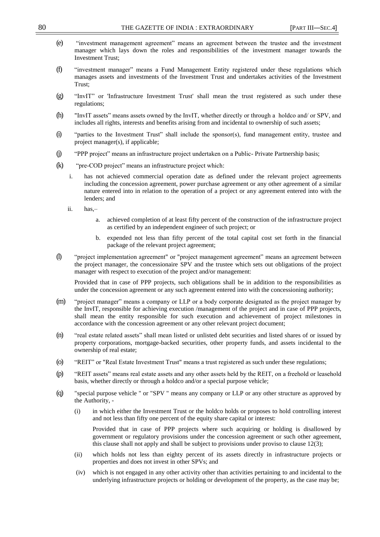- (e) ―investment management agreement‖ means an agreement between the trustee and the investment manager which lays down the roles and responsibilities of the investment manager towards the Investment Trust;
- (f) "investment manager" means a Fund Management Entity registered under these regulations which manages assets and investments of the Investment Trust and undertakes activities of the Investment Trust;
- (g) ―InvIT‖ or 'Infrastructure Investment Trust' shall mean the trust registered as such under these regulations;
- (h) "InvIT assets" means assets owned by the InvIT, whether directly or through a holdco and/ or SPV, and includes all rights, interests and benefits arising from and incidental to ownership of such assets;
- (i) "parties to the Investment Trust" shall include the sponsor(s), fund management entity, trustee and project manager(s), if applicable;
- (j) "PPP project" means an infrastructure project undertaken on a Public- Private Partnership basis;
- $(k)$  "pre-COD project" means an infrastructure project which:
	- i. has not achieved commercial operation date as defined under the relevant project agreements including the concession agreement, power purchase agreement or any other agreement of a similar nature entered into in relation to the operation of a project or any agreement entered into with the lenders; and
	- ii. has,–
		- a. achieved completion of at least fifty percent of the construction of the infrastructure project as certified by an independent engineer of such project; or
		- b. expended not less than fifty percent of the total capital cost set forth in the financial package of the relevant project agreement;
- (l) ―project implementation agreement" or "project management agreement‖ means an agreement between the project manager, the concessionaire SPV and the trustee which sets out obligations of the project manager with respect to execution of the project and/or management:

Provided that in case of PPP projects, such obligations shall be in addition to the responsibilities as under the concession agreement or any such agreement entered into with the concessioning authority;

- (m) "project manager" means a company or LLP or a body corporate designated as the project manager by the InvIT, responsible for achieving execution /management of the project and in case of PPP projects, shall mean the entity responsible for such execution and achievement of project milestones in accordance with the concession agreement or any other relevant project document;
- (n) "real estate related assets" shall mean listed or unlisted debt securities and listed shares of or issued by property corporations, mortgage-backed securities, other property funds, and assets incidental to the ownership of real estate;
- (o) "REIT" or "Real Estate Investment Trust" means a trust registered as such under these regulations;
- (p) ―REIT assets‖ means real estate assets and any other assets held by the REIT, on a freehold or leasehold basis, whether directly or through a holdco and/or a special purpose vehicle;
- (q) "special purpose vehicle " or "SPV " means any company or LLP or any other structure as approved by the Authority, -
	- (i) in which either the Investment Trust or the holdco holds or proposes to hold controlling interest and not less than fifty one percent of the equity share capital or interest:

Provided that in case of PPP projects where such acquiring or holding is disallowed by government or regulatory provisions under the concession agreement or such other agreement, this clause shall not apply and shall be subject to provisions under proviso to clause  $12(3)$ ;

- (ii) which holds not less than eighty percent of its assets directly in infrastructure projects or properties and does not invest in other SPVs; and
- (iv) which is not engaged in any other activity other than activities pertaining to and incidental to the underlying infrastructure projects or holding or development of the property, as the case may be;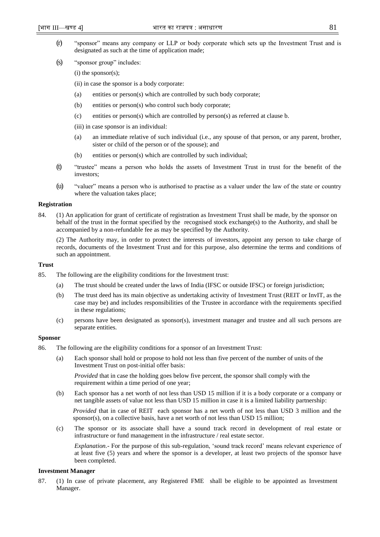- (r) "sponsor" means any company or LLP or body corporate which sets up the Investment Trust and is designated as such at the time of application made;
- $(s)$  "sponsor group" includes:
	- $(i)$  the sponsor $(s)$ ;
	- (ii) in case the sponsor is a body corporate:
	- (a) entities or person(s) which are controlled by such body corporate;
	- (b) entities or person(s) who control such body corporate;
	- (c) entities or person(s) which are controlled by person(s) as referred at clause b.
	- (iii) in case sponsor is an individual:
	- (a) an immediate relative of such individual (i.e., any spouse of that person, or any parent, brother, sister or child of the person or of the spouse); and
	- (b) entities or person(s) which are controlled by such individual;
- (t) ―trustee‖ means a person who holds the assets of Investment Trust in trust for the benefit of the investors;
- (u) ―valuer‖ means a person who is authorised to practise as a valuer under the law of the state or country where the valuation takes place;

# **Registration**

84. (1) An application for grant of certificate of registration as Investment Trust shall be made, by the sponsor on behalf of the trust in the format specified by the recognised stock exchange(s) to the Authority, and shall be accompanied by a non-refundable fee as may be specified by the Authority.

(2) The Authority may, in order to protect the interests of investors, appoint any person to take charge of records, documents of the Investment Trust and for this purpose, also determine the terms and conditions of such an appointment.

# **Trust**

- 85. The following are the eligibility conditions for the Investment trust:
	- (a) The trust should be created under the laws of India (IFSC or outside IFSC) or foreign jurisdiction;
	- (b) The trust deed has its main objective as undertaking activity of Investment Trust (REIT or InvIT, as the case may be) and includes responsibilities of the Trustee in accordance with the requirements specified in these regulations;
	- (c) persons have been designated as sponsor(s), investment manager and trustee and all such persons are separate entities.

# **Sponsor**

- 86. The following are the eligibility conditions for a sponsor of an Investment Trust:
	- (a) Each sponsor shall hold or propose to hold not less than five percent of the number of units of the Investment Trust on post-initial offer basis:

*Provided* that in case the holding goes below five percent, the sponsor shall comply with the requirement within a time period of one year;

(b) Each sponsor has a net worth of not less than USD 15 million if it is a body corporate or a company or net tangible assets of value not less than USD 15 million in case it is a limited liability partnership:

*Provided* that in case of REIT each sponsor has a net worth of not less than USD 3 million and the sponsor(s), on a collective basis, have a net worth of not less than USD 15 million;

(c) The sponsor or its associate shall have a sound track record in development of real estate or infrastructure or fund management in the infrastructure / real estate sector.

*Explanation.*- For the purpose of this sub-regulation, 'sound track record' means relevant experience of at least five (5) years and where the sponsor is a developer, at least two projects of the sponsor have been completed.

# **Investment Manager**

87. (1) In case of private placement, any Registered FME shall be eligible to be appointed as Investment Manager.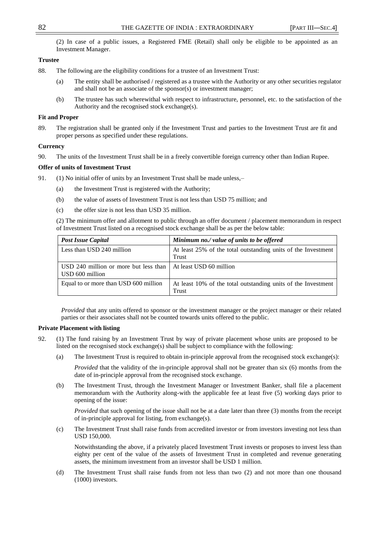(2) In case of a public issues, a Registered FME (Retail) shall only be eligible to be appointed as an Investment Manager.

# **Trustee**

- 88. The following are the eligibility conditions for a trustee of an Investment Trust:
	- (a) The entity shall be authorised / registered as a trustee with the Authority or any other securities regulator and shall not be an associate of the sponsor(s) or investment manager;
	- (b) The trustee has such wherewithal with respect to infrastructure, personnel, etc. to the satisfaction of the Authority and the recognised stock exchange(s).

# **Fit and Proper**

89. The registration shall be granted only if the Investment Trust and parties to the Investment Trust are fit and proper persons as specified under these regulations.

#### **Currency**

90. The units of the Investment Trust shall be in a freely convertible foreign currency other than Indian Rupee.

# **Offer of units of Investment Trust**

- 91. (1) No initial offer of units by an Investment Trust shall be made unless,–
	- (a) the Investment Trust is registered with the Authority;
	- (b) the value of assets of Investment Trust is not less than USD 75 million; and
	- (c) the offer size is not less than USD 35 million.

(2) The minimum offer and allotment to public through an offer document / placement memorandum in respect of Investment Trust listed on a recognised stock exchange shall be as per the below table:

| <b>Post Issue Capital</b>                                | Minimum no./ value of units to be offered                              |
|----------------------------------------------------------|------------------------------------------------------------------------|
| Less than USD 240 million                                | At least 25% of the total outstanding units of the Investment<br>Trust |
| USD 240 million or more but less than<br>USD 600 million | At least USD 60 million                                                |
| Equal to or more than USD 600 million                    | At least 10% of the total outstanding units of the Investment<br>Trust |

*Provided* that any units offered to sponsor or the investment manager or the project manager or their related parties or their associates shall not be counted towards units offered to the public.

#### **Private Placement with listing**

- 92. (1) The fund raising by an Investment Trust by way of private placement whose units are proposed to be listed on the recognised stock exchange(s) shall be subject to compliance with the following:
	- (a) The Investment Trust is required to obtain in-principle approval from the recognised stock exchange(s):

*Provided* that the validity of the in-principle approval shall not be greater than six (6) months from the date of in-principle approval from the recognised stock exchange.

(b) The Investment Trust, through the Investment Manager or Investment Banker, shall file a placement memorandum with the Authority along-with the applicable fee at least five (5) working days prior to opening of the issue:

*Provided* that such opening of the issue shall not be at a date later than three (3) months from the receipt of in-principle approval for listing, from exchange(s).

(c) The Investment Trust shall raise funds from accredited investor or from investors investing not less than USD 150,000.

Notwithstanding the above, if a privately placed Investment Trust invests or proposes to invest less than eighty per cent of the value of the assets of Investment Trust in completed and revenue generating assets, the minimum investment from an investor shall be USD 1 million.

(d) The Investment Trust shall raise funds from not less than two (2) and not more than one thousand (1000) investors.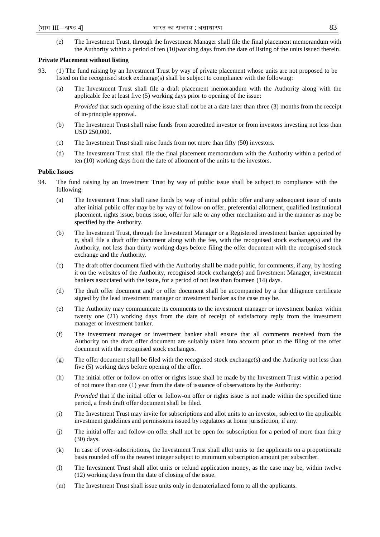(e) The Investment Trust, through the Investment Manager shall file the final placement memorandum with the Authority within a period of ten (10)working days from the date of listing of the units issued therein.

#### **Private Placement without listing**

- 93. (1) The fund raising by an Investment Trust by way of private placement whose units are not proposed to be listed on the recognised stock exchange(s) shall be subject to compliance with the following:
	- (a) The Investment Trust shall file a draft placement memorandum with the Authority along with the applicable fee at least five (5) working days prior to opening of the issue:

*Provided* that such opening of the issue shall not be at a date later than three (3) months from the receipt of in-principle approval.

- (b) The Investment Trust shall raise funds from accredited investor or from investors investing not less than USD 250,000.
- (c) The Investment Trust shall raise funds from not more than fifty (50) investors.
- (d) The Investment Trust shall file the final placement memorandum with the Authority within a period of ten (10) working days from the date of allotment of the units to the investors.

# **Public Issues**

- 94. The fund raising by an Investment Trust by way of public issue shall be subject to compliance with the following:
	- (a) The Investment Trust shall raise funds by way of initial public offer and any subsequent issue of units after initial public offer may be by way of follow-on offer, preferential allotment, qualified institutional placement, rights issue, bonus issue, offer for sale or any other mechanism and in the manner as may be specified by the Authority.
	- (b) The Investment Trust, through the Investment Manager or a Registered investment banker appointed by it, shall file a draft offer document along with the fee, with the recognised stock exchange(s) and the Authority, not less than thirty working days before filing the offer document with the recognised stock exchange and the Authority.
	- (c) The draft offer document filed with the Authority shall be made public, for comments, if any, by hosting it on the websites of the Authority, recognised stock exchange(s) and Investment Manager, investment bankers associated with the issue, for a period of not less than fourteen (14) days.
	- (d) The draft offer document and/ or offer document shall be accompanied by a due diligence certificate signed by the lead investment manager or investment banker as the case may be.
	- (e) The Authority may communicate its comments to the investment manager or investment banker within twenty one (21) working days from the date of receipt of satisfactory reply from the investment manager or investment banker.
	- (f) The investment manager or investment banker shall ensure that all comments received from the Authority on the draft offer document are suitably taken into account prior to the filing of the offer document with the recognised stock exchanges.
	- (g) The offer document shall be filed with the recognised stock exchange(s) and the Authority not less than five (5) working days before opening of the offer.
	- (h) The initial offer or follow-on offer or rights issue shall be made by the Investment Trust within a period of not more than one (1) year from the date of issuance of observations by the Authority:

*Provided* that if the initial offer or follow-on offer or rights issue is not made within the specified time period, a fresh draft offer document shall be filed.

- (i) The Investment Trust may invite for subscriptions and allot units to an investor, subject to the applicable investment guidelines and permissions issued by regulators at home jurisdiction, if any.
- (j) The initial offer and follow-on offer shall not be open for subscription for a period of more than thirty (30) days.
- (k) In case of over-subscriptions, the Investment Trust shall allot units to the applicants on a proportionate basis rounded off to the nearest integer subject to minimum subscription amount per subscriber.
- (l) The Investment Trust shall allot units or refund application money, as the case may be, within twelve (12) working days from the date of closing of the issue.
- (m) The Investment Trust shall issue units only in dematerialized form to all the applicants.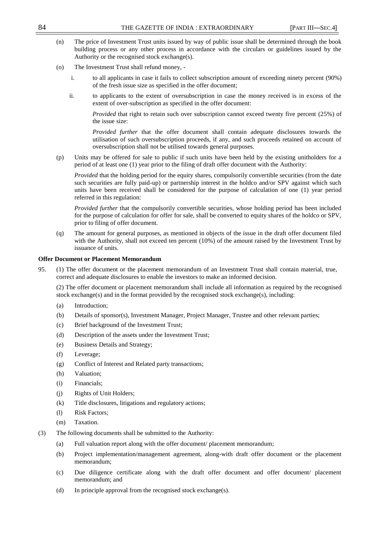- (n) The price of Investment Trust units issued by way of public issue shall be determined through the book building process or any other process in accordance with the circulars or guidelines issued by the Authority or the recognised stock exchange(s).
- (o) The Investment Trust shall refund money,
	- i. to all applicants in case it fails to collect subscription amount of exceeding ninety percent (90%) of the fresh issue size as specified in the offer document;
	- ii. to applicants to the extent of oversubscription in case the money received is in excess of the extent of over-subscription as specified in the offer document:

*Provided* that right to retain such over subscription cannot exceed twenty five percent (25%) of the issue size:

*Provided further* that the offer document shall contain adequate disclosures towards the utilisation of such oversubscription proceeds, if any, and such proceeds retained on account of oversubscription shall not be utilised towards general purposes.

(p) Units may be offered for sale to public if such units have been held by the existing unitholders for a period of at least one (1) year prior to the filing of draft offer document with the Authority:

*Provided* that the holding period for the equity shares, compulsorily convertible securities (from the date such securities are fully paid-up) or partnership interest in the holdco and/or SPV against which such units have been received shall be considered for the purpose of calculation of one (1) year period referred in this regulation:

*Provided further* that the compulsorily convertible securities, whose holding period has been included for the purpose of calculation for offer for sale, shall be converted to equity shares of the holdco or SPV, prior to filing of offer document.

(q) The amount for general purposes, as mentioned in objects of the issue in the draft offer document filed with the Authority, shall not exceed ten percent (10%) of the amount raised by the Investment Trust by issuance of units.

# **Offer Document or Placement Memorandum**

95. (1) The offer document or the placement memorandum of an Investment Trust shall contain material, true, correct and adequate disclosures to enable the investors to make an informed decision.

(2) The offer document or placement memorandum shall include all information as required by the recognised stock exchange(s) and in the format provided by the recognised stock exchange(s), including:

- (a) Introduction;
- (b) Details of sponsor(s), Investment Manager, Project Manager, Trustee and other relevant parties;
- (c) Brief background of the Investment Trust;
- (d) Description of the assets under the Investment Trust;
- (e) Business Details and Strategy;
- (f) Leverage;
- (g) Conflict of Interest and Related party transactions;
- (h) Valuation;
- (i) Financials;
- (j) Rights of Unit Holders;
- (k) Title disclosures, litigations and regulatory actions;
- (l) Risk Factors;
- (m) Taxation.
- (3) The following documents shall be submitted to the Authority:
	- (a) Full valuation report along with the offer document/ placement memorandum;
	- (b) Project implementation/management agreement, along-with draft offer document or the placement memorandum;
	- (c) Due diligence certificate along with the draft offer document and offer document/ placement memorandum; and
	- (d) In principle approval from the recognised stock exchange(s).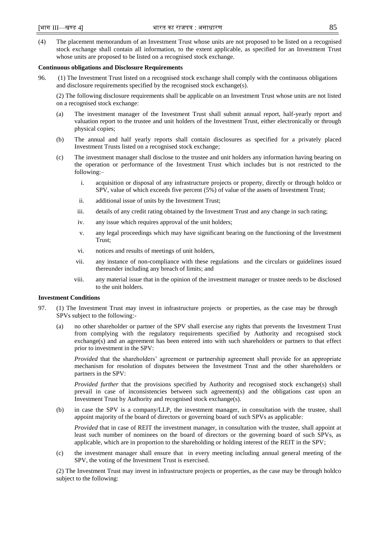(4) The placement memorandum of an Investment Trust whose units are not proposed to be listed on a recognised stock exchange shall contain all information, to the extent applicable, as specified for an Investment Trust whose units are proposed to be listed on a recognised stock exchange.

### **Continuous obligations and Disclosure Requirements**

96. (1) The Investment Trust listed on a recognised stock exchange shall comply with the continuous obligations and disclosure requirements specified by the recognised stock exchange(s).

(2) The following disclosure requirements shall be applicable on an Investment Trust whose units are not listed on a recognised stock exchange:

- (a) The investment manager of the Investment Trust shall submit annual report, half-yearly report and valuation report to the trustee and unit holders of the Investment Trust, either electronically or through physical copies;
- (b) The annual and half yearly reports shall contain disclosures as specified for a privately placed Investment Trusts listed on a recognised stock exchange;
- (c) The investment manager shall disclose to the trustee and unit holders any information having bearing on the operation or performance of the Investment Trust which includes but is not restricted to the following:–
	- i. acquisition or disposal of any infrastructure projects or property, directly or through holdco or SPV, value of which exceeds five percent (5%) of value of the assets of Investment Trust;
	- ii. additional issue of units by the Investment Trust;
	- iii. details of any credit rating obtained by the Investment Trust and any change in such rating;
	- iv. any issue which requires approval of the unit holders;
	- v. any legal proceedings which may have significant bearing on the functioning of the Investment Trust;
	- vi. notices and results of meetings of unit holders,
	- vii. any instance of non-compliance with these regulations and the circulars or guidelines issued thereunder including any breach of limits; and
	- viii. any material issue that in the opinion of the investment manager or trustee needs to be disclosed to the unit holders.

# **Investment Conditions**

- 97. (1) The Investment Trust may invest in infrastructure projects or properties, as the case may be through SPVs subject to the following:-
	- (a) no other shareholder or partner of the SPV shall exercise any rights that prevents the Investment Trust from complying with the regulatory requirements specified by Authority and recognised stock exchange(s) and an agreement has been entered into with such shareholders or partners to that effect prior to investment in the SPV:

*Provided* that the shareholders' agreement or partnership agreement shall provide for an appropriate mechanism for resolution of disputes between the Investment Trust and the other shareholders or partners in the SPV:

*Provided further* that the provisions specified by Authority and recognised stock exchange(s) shall prevail in case of inconsistencies between such agreement(s) and the obligations cast upon an Investment Trust by Authority and recognised stock exchange(s).

(b) in case the SPV is a company/LLP, the investment manager, in consultation with the trustee, shall appoint majority of the board of directors or governing board of such SPVs as applicable:

*Provided* that in case of REIT the investment manager, in consultation with the trustee, shall appoint at least such number of nominees on the board of directors or the governing board of such SPVs, as applicable, which are in proportion to the shareholding or holding interest of the REIT in the SPV;

(c) the investment manager shall ensure that in every meeting including annual general meeting of the SPV, the voting of the Investment Trust is exercised.

(2) The Investment Trust may invest in infrastructure projects or properties, as the case may be through holdco subject to the following: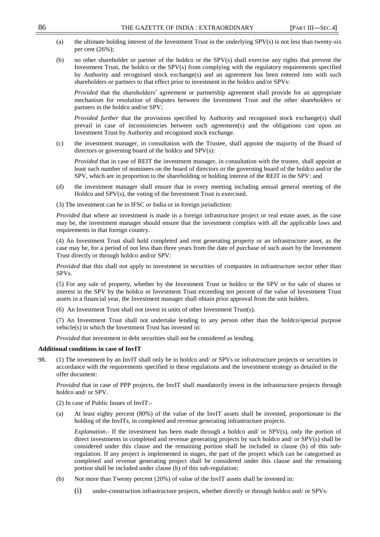- (a) the ultimate holding interest of the Investment Trust in the underlying SPV(s) is not less than twenty-six per cent (26%);
- (b) no other shareholder or partner of the holdco or the SPV(s) shall exercise any rights that prevent the Investment Trust, the holdco or the SPV(s) from complying with the regulatory requirements specified by Authority and recognised stock exchange(s) and an agreement has been entered into with such shareholders or partners to that effect prior to investment in the holdco and/or SPVs:

*Provided* that the shareholders' agreement or partnership agreement shall provide for an appropriate mechanism for resolution of disputes between the Investment Trust and the other shareholders or partners in the holdco and/or SPV;

*Provided further* that the provisions specified by Authority and recognised stock exchange(s) shall prevail in case of inconsistencies between such agreement(s) and the obligations cast upon an Investment Trust by Authority and recognised stock exchange.

(c) the investment manager, in consultation with the Trustee, shall appoint the majority of the Board of directors or governing board of the holdco and SPV(s):

*Provided* that in case of REIT the investment manager, in consultation with the trustee, shall appoint at least such number of nominees on the board of directors or the governing board of the holdco and/or the SPV, which are in proportion to the shareholding or holding interest of the REIT in the SPV: and

(d) the investment manager shall ensure that in every meeting including annual general meeting of the Holdco and SPV(s), the voting of the Investment Trust is exercised.

(3) The investment can be in IFSC or India or in foreign jurisdiction:

*Provided* that where an investment is made in a foreign infrastructure project or real estate asset, as the case may be, the investment manager should ensure that the investment complies with all the applicable laws and requirements in that foreign country.

(4) An Investment Trust shall hold completed and rent generating property or an infrastructure asset, as the case may be, for a period of not less than three years from the date of purchase of such asset by the Investment Trust directly or through holdco and/or SPV:

*Provided* that this shall not apply to investment in securities of companies in infrastructure sector other than SPVs.

(5) For any sale of property, whether by the Investment Trust or holdco or the SPV or for sale of shares or interest in the SPV by the holdco or Investment Trust exceeding ten percent of the value of Investment Trust assets in a financial year, the Investment manager shall obtain prior approval from the unit holders.

(6) An Investment Trust shall not invest in units of other Investment Trust(s).

(7) An Investment Trust shall not undertake lending to any person other than the holdco/special purpose vehicle(s) in which the Investment Trust has invested in:

*Provided* that investment in debt securities shall not be considered as lending.

# **Additional conditions in case of InvIT**

98. (1) The investment by an InvIT shall only be in holdco and/ or SPVs or infrastructure projects or securities in accordance with the requirements specified in these regulations and the investment strategy as detailed in the offer document:

*Provided* that in case of PPP projects, the InvIT shall mandatorily invest in the infrastructure projects through holdco and/ or SPV.

(2) In case of Public Issues of InvIT:-

(a) At least eighty percent (80%) of the value of the InvIT assets shall be invested, proportionate to the holding of the InvITs, in completed and revenue generating infrastructure projects.

*Explanation.*- If the investment has been made through a holdco and/ or SPV(s), only the portion of direct investments in completed and revenue generating projects by such holdco and/ or SPV(s) shall be considered under this clause and the remaining portion shall be included in clause (b) of this subregulation. If any project is implemented in stages, the part of the project which can be categorised as completed and revenue generating project shall be considered under this clause and the remaining portion shall be included under clause (b) of this sub-regulation;

- (b) Not more than Twenty percent (20%) of value of the InvIT assets shall be invested in:
	- (i) under-construction infrastructure projects, whether directly or through holdco and/ or SPVs: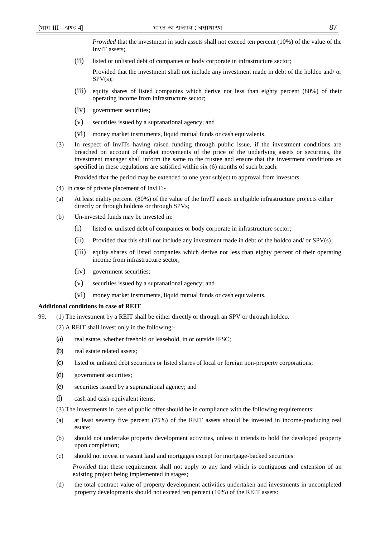*Provided* that the investment in such assets shall not exceed ten percent (10%) of the value of the InvIT assets;

(ii) listed or unlisted debt of companies or body corporate in infrastructure sector;

Provided that the investment shall not include any investment made in debt of the holdco and/ or SPV(s);

- (iii) equity shares of listed companies which derive not less than eighty percent (80%) of their operating income from infrastructure sector;
- (iv) government securities;
- (v) securities issued by a supranational agency; and
- (vi) money market instruments, liquid mutual funds or cash equivalents.
- (3) In respect of InvITs having raised funding through public issue, if the investment conditions are breached on account of market movements of the price of the underlying assets or securities, the investment manager shall inform the same to the trustee and ensure that the investment conditions as specified in these regulations are satisfied within six (6) months of such breach:

Provided that the period may be extended to one year subject to approval from investors.

- (4) In case of private placement of InvIT:-
- (a) At least eighty percent (80%) of the value of the InvIT assets in eligible infrastructure projects either directly or through holdcos or through SPVs;
- (b) Un-invested funds may be invested in:
	- (i) listed or unlisted debt of companies or body corporate in infrastructure sector;
	- (ii) Provided that this shall not include any investment made in debt of the holdco and/ or SPV(s);
	- (iii) equity shares of listed companies which derive not less than eighty percent of their operating income from infrastructure sector;
	- (iv) government securities;
	- (v) securities issued by a supranational agency; and
	- (vi) money market instruments, liquid mutual funds or cash equivalents.

#### **Additional conditions in case of REIT**

- 99. (1) The investment by a REIT shall be either directly or through an SPV or through holdco.
	- (2) A REIT shall invest only in the following:-
	- (a) real estate, whether freehold or leasehold, in or outside IFSC;
	- (b) real estate related assets;
	- (c) listed or unlisted debt securities or listed shares of local or foreign non-property corporations;
	- (d) government securities;
	- (e) securities issued by a supranational agency; and
	- (f) cash and cash-equivalent items.

(3) The investments in case of public offer should be in compliance with the following requirements:

- (a) at least seventy five percent (75%) of the REIT assets should be invested in income-producing real estate;
- (b) should not undertake property development activities, unless it intends to hold the developed property upon completion;
- (c) should not invest in vacant land and mortgages except for mortgage-backed securities:

*Provided* that these requirement shall not apply to any land which is contiguous and extension of an existing project being implemented in stages;

(d) the total contract value of property development activities undertaken and investments in uncompleted property developments should not exceed ten percent (10%) of the REIT assets: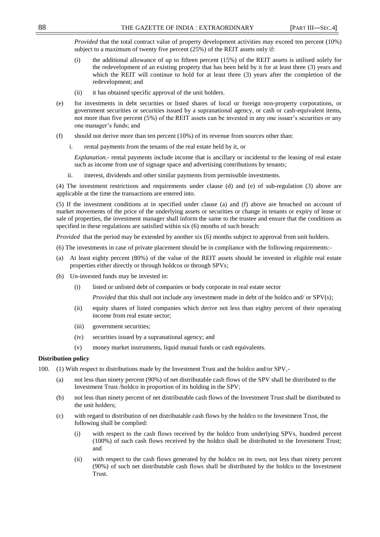*Provided* that the total contract value of property development activities may exceed ten percent (10%) subject to a maximum of twenty five percent (25%) of the REIT assets only if:

- (i) the additional allowance of up to fifteen percent (15%) of the REIT assets is utilised solely for the redevelopment of an existing property that has been held by it for at least three (3) years and which the REIT will continue to hold for at least three (3) years after the completion of the redevelopment; and
- (ii) it has obtained specific approval of the unit holders.
- (e) for investments in debt securities or listed shares of local or foreign non-property corporations, or government securities or securities issued by a supranational agency, or cash or cash-equivalent items, not more than five percent (5%) of the REIT assets can be invested in any one issuer's securities or any one manager's funds; and
- (f) should not derive more than ten percent (10%) of its revenue from sources other than:
	- i. rental payments from the tenants of the real estate held by it, or

*Explanation.*- rental payments include income that is ancillary or incidental to the leasing of real estate such as income from use of signage space and advertising contributions by tenants;

ii. interest, dividends and other similar payments from permissible investments.

(4) The investment restrictions and requirements under clause (d) and (e) of sub-regulation (3) above are applicable at the time the transactions are entered into.

(5) If the investment conditions at in specified under clause (a) and (f) above are breached on account of market movements of the price of the underlying assets or securities or change in tenants or expiry of lease or sale of properties, the investment manager shall inform the same to the trustee and ensure that the conditions as specified in these regulations are satisfied within six (6) months of such breach:

*Provided* that the period may be extended by another six (6) months subject to approval from unit holders.

(6) The investments in case of private placement should be in compliance with the following requirements:-

- (a) At least eighty percent (80%) of the value of the REIT assets should be invested in eligible real estate properties either directly or through holdcos or through SPVs;
- (b) Un-invested funds may be invested in:
	- (i) listed or unlisted debt of companies or body corporate in real estate sector

*Provided* that this shall not include any investment made in debt of the holdco and/ or SPV(s);

- (ii) equity shares of listed companies which derive not less than eighty percent of their operating income from real estate sector;
- (iii) government securities;
- (iv) securities issued by a supranational agency; and
- (v) money market instruments, liquid mutual funds or cash equivalents.

# **Distribution policy**

- 100. (1) With respect to distributions made by the Investment Trust and the holdco and/or SPV,-
	- (a) not less than ninety percent (90%) of net distributable cash flows of the SPV shall be distributed to the Investment Trust /holdco in proportion of its holding in the SPV;
	- (b) not less than ninety percent of net distributable cash flows of the Investment Trust shall be distributed to the unit holders;
	- (c) with regard to distribution of net distributable cash flows by the holdco to the Investment Trust, the following shall be complied:
		- (i) with respect to the cash flows received by the holdco from underlying SPVs, hundred percent (100%) of such cash flows received by the holdco shall be distributed to the Investment Trust; and
		- (ii) with respect to the cash flows generated by the holdco on its own, not less than ninety percent (90%) of such net distributable cash flows shall be distributed by the holdco to the Investment Trust.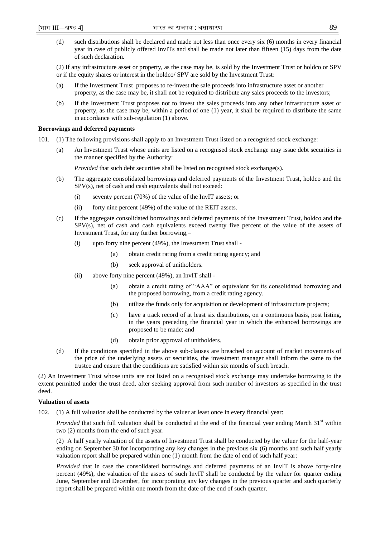(d) such distributions shall be declared and made not less than once every six (6) months in every financial year in case of publicly offered InvITs and shall be made not later than fifteen (15) days from the date of such declaration.

(2) If any infrastructure asset or property, as the case may be, is sold by the Investment Trust or holdco or SPV or if the equity shares or interest in the holdco/ SPV are sold by the Investment Trust:

- (a) If the Investment Trust proposes to re-invest the sale proceeds into infrastructure asset or another property, as the case may be, it shall not be required to distribute any sales proceeds to the investors;
- (b) If the Investment Trust proposes not to invest the sales proceeds into any other infrastructure asset or property, as the case may be, within a period of one (1) year, it shall be required to distribute the same in accordance with sub-regulation (1) above.

# **Borrowings and deferred payments**

- 101. (1) The following provisions shall apply to an Investment Trust listed on a recognised stock exchange:
	- (a) An Investment Trust whose units are listed on a recognised stock exchange may issue debt securities in the manner specified by the Authority:

*Provided* that such debt securities shall be listed on recognised stock exchange(s).

- (b) The aggregate consolidated borrowings and deferred payments of the Investment Trust, holdco and the SPV(s), net of cash and cash equivalents shall not exceed:
	- (i) seventy percent (70%) of the value of the InvIT assets; or
	- (ii) forty nine percent (49%) of the value of the REIT assets.
- (c) If the aggregate consolidated borrowings and deferred payments of the Investment Trust, holdco and the SPV(s), net of cash and cash equivalents exceed twenty five percent of the value of the assets of Investment Trust, for any further borrowing,–
	- (i) upto forty nine percent (49%), the Investment Trust shall
		- (a) obtain credit rating from a credit rating agency; and
		- (b) seek approval of unitholders.
	- (ii) above forty nine percent (49%), an InvIT shall
		- (a) obtain a credit rating of "AAA" or equivalent for its consolidated borrowing and the proposed borrowing, from a credit rating agency.
		- (b) utilize the funds only for acquisition or development of infrastructure projects;
		- (c) have a track record of at least six distributions, on a continuous basis, post listing, in the years preceding the financial year in which the enhanced borrowings are proposed to be made; and
		- (d) obtain prior approval of unitholders.
- (d) If the conditions specified in the above sub-clauses are breached on account of market movements of the price of the underlying assets or securities, the investment manager shall inform the same to the trustee and ensure that the conditions are satisfied within six months of such breach.

(2) An Investment Trust whose units are not listed on a recognised stock exchange may undertake borrowing to the extent permitted under the trust deed, after seeking approval from such number of investors as specified in the trust deed.

# **Valuation of assets**

102. (1) A full valuation shall be conducted by the valuer at least once in every financial year:

*Provided* that such full valuation shall be conducted at the end of the financial year ending March 31<sup>st</sup> within two (2) months from the end of such year.

(2) A half yearly valuation of the assets of Investment Trust shall be conducted by the valuer for the half-year ending on September 30 for incorporating any key changes in the previous six (6) months and such half yearly valuation report shall be prepared within one (1) month from the date of end of such half year:

*Provided* that in case the consolidated borrowings and deferred payments of an InvIT is above forty-nine percent (49%), the valuation of the assets of such InvIT shall be conducted by the valuer for quarter ending June, September and December, for incorporating any key changes in the previous quarter and such quarterly report shall be prepared within one month from the date of the end of such quarter.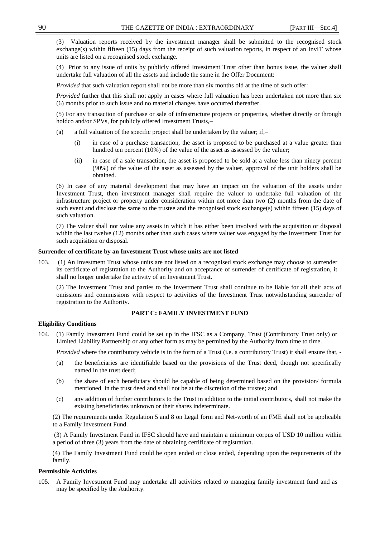(3) Valuation reports received by the investment manager shall be submitted to the recognised stock exchange(s) within fifteen (15) days from the receipt of such valuation reports, in respect of an InvIT whose units are listed on a recognised stock exchange.

(4) Prior to any issue of units by publicly offered Investment Trust other than bonus issue, the valuer shall undertake full valuation of all the assets and include the same in the Offer Document:

*Provided* that such valuation report shall not be more than six months old at the time of such offer:

*Provided* further that this shall not apply in cases where full valuation has been undertaken not more than six (6) months prior to such issue and no material changes have occurred thereafter.

(5) For any transaction of purchase or sale of infrastructure projects or properties, whether directly or through holdco and/or SPVs, for publicly offered Investment Trusts,–

- (a) a full valuation of the specific project shall be undertaken by the valuer; if,–
	- (i) in case of a purchase transaction, the asset is proposed to be purchased at a value greater than hundred ten percent (10%) of the value of the asset as assessed by the valuer;
	- (ii) in case of a sale transaction, the asset is proposed to be sold at a value less than ninety percent (90%) of the value of the asset as assessed by the valuer, approval of the unit holders shall be obtained.

(6) In case of any material development that may have an impact on the valuation of the assets under Investment Trust, then investment manager shall require the valuer to undertake full valuation of the infrastructure project or property under consideration within not more than two (2) months from the date of such event and disclose the same to the trustee and the recognised stock exchange(s) within fifteen (15) days of such valuation.

(7) The valuer shall not value any assets in which it has either been involved with the acquisition or disposal within the last twelve (12) months other than such cases where valuer was engaged by the Investment Trust for such acquisition or disposal.

#### **Surrender of certificate by an Investment Trust whose units are not listed**

103. (1) An Investment Trust whose units are not listed on a recognised stock exchange may choose to surrender its certificate of registration to the Authority and on acceptance of surrender of certificate of registration, it shall no longer undertake the activity of an Investment Trust.

(2) The Investment Trust and parties to the Investment Trust shall continue to be liable for all their acts of omissions and commissions with respect to activities of the Investment Trust notwithstanding surrender of registration to the Authority.

# **PART C: FAMILY INVESTMENT FUND**

# **Eligibility Conditions**

104. (1) Family Investment Fund could be set up in the IFSC as a Company, Trust (Contributory Trust only) or Limited Liability Partnership or any other form as may be permitted by the Authority from time to time.

*Provided* where the contributory vehicle is in the form of a Trust (i.e. a contributory Trust) it shall ensure that, -

- (a) the beneficiaries are identifiable based on the provisions of the Trust deed, though not specifically named in the trust deed;
- (b) the share of each beneficiary should be capable of being determined based on the provision/ formula mentioned in the trust deed and shall not be at the discretion of the trustee; and
- (c) any addition of further contributors to the Trust in addition to the initial contributors, shall not make the existing beneficiaries unknown or their shares indeterminate.

(2) The requirements under Regulation 5 and 8 on Legal form and Net-worth of an FME shall not be applicable to a Family Investment Fund.

(3) A Family Investment Fund in IFSC should have and maintain a minimum corpus of USD 10 million within a period of three (3) years from the date of obtaining certificate of registration.

(4) The Family Investment Fund could be open ended or close ended, depending upon the requirements of the family.

# **Permissible Activities**

105. A Family Investment Fund may undertake all activities related to managing family investment fund and as may be specified by the Authority.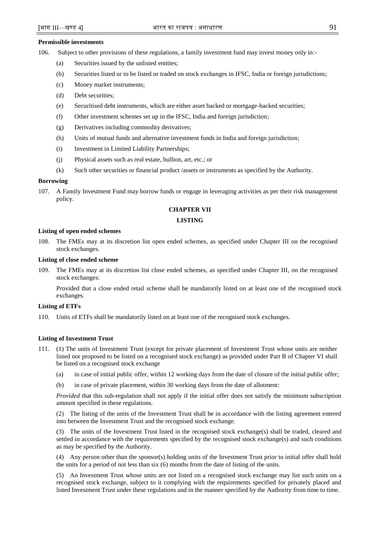#### **Permissible investments**

106. Subject to other provisions of these regulations, a family investment fund may invest money only in:-

- (a) Securities issued by the unlisted entities;
- (b) Securities listed or to be listed or traded on stock exchanges in IFSC, India or foreign jurisdictions;
- (c) Money market instruments;
- (d) Debt securities;
- (e) Securitised debt instruments, which are either asset backed or mortgage-backed securities;
- (f) Other investment schemes set up in the IFSC, India and foreign jurisdiction;
- (g) Derivatives including commodity derivatives;
- (h) Units of mutual funds and alternative investment funds in India and foreign jurisdiction;
- (i) Investment in Limited Liability Partnerships;
- (j) Physical assets such as real estate, bullion, art, etc.; or
- (k) Such other securities or financial product /assets or instruments as specified by the Authority.

# **Borrowing**

107. A Family Investment Fund may borrow funds or engage in leveraging activities as per their risk management policy.

# **CHAPTER VII**

# **LISTING**

#### **Listing of open ended schemes**

108. The FMEs may at its discretion list open ended schemes, as specified under Chapter III on the recognised stock exchanges.

# **Listing of close ended scheme**

109. The FMEs may at its discretion list close ended schemes, as specified under Chapter III, on the recognised stock exchanges:

Provided that a close ended retail scheme shall be mandatorily listed on at least one of the recognised stock exchanges.

# **Listing of ETFs**

110. Units of ETFs shall be mandatorily listed on at least one of the recognised stock exchanges.

### **Listing of Investment Trust**

- 111. (1) The units of Investment Trust (except for private placement of Investment Trust whose units are neither listed nor proposed to be listed on a recognised stock exchange) as provided under Part B of Chapter VI shall be listed on a recognised stock exchange
	- (a) in case of initial public offer, within 12 working days from the date of closure of the initial public offer;
	- (b) in case of private placement, within 30 working days from the date of allotment:

*Provided* that this sub-regulation shall not apply if the initial offer does not satisfy the minimum subscription amount specified in these regulations.

(2) The listing of the units of the Investment Trust shall be in accordance with the listing agreement entered into between the Investment Trust and the recognised stock exchange.

(3) The units of the Investment Trust listed in the recognised stock exchange(s) shall be traded, cleared and settled in accordance with the requirements specified by the recognised stock exchange(s) and such conditions as may be specified by the Authority.

(4) Any person other than the sponsor(s) holding units of the Investment Trust prior to initial offer shall hold the units for a period of not less than six (6) months from the date of listing of the units.

(5) An Investment Trust whose units are not listed on a recognised stock exchange may list such units on a recognised stock exchange, subject to it complying with the requirements specified for privately placed and listed Investment Trust under these regulations and in the manner specified by the Authority from time to time.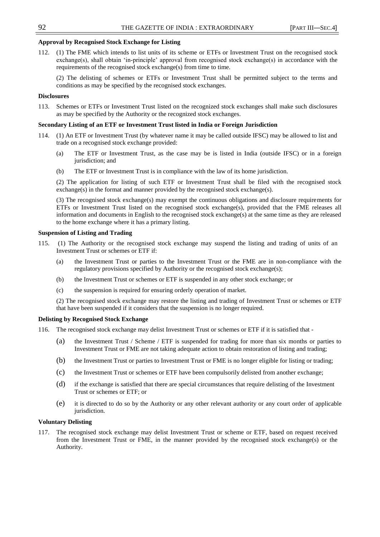# **Approval by Recognised Stock Exchange for Listing**

112. (1) The FME which intends to list units of its scheme or ETFs or Investment Trust on the recognised stock exchange(s), shall obtain 'in-principle' approval from recognised stock exchange(s) in accordance with the requirements of the recognised stock exchange(s) from time to time.

(2) The delisting of schemes or ETFs or Investment Trust shall be permitted subject to the terms and conditions as may be specified by the recognised stock exchanges.

# **Disclosures**

113. Schemes or ETFs or Investment Trust listed on the recognized stock exchanges shall make such disclosures as may be specified by the Authority or the recognized stock exchanges.

# **Secondary Listing of an ETF or Investment Trust listed in India or Foreign Jurisdiction**

- 114. (1) An ETF or Investment Trust (by whatever name it may be called outside IFSC) may be allowed to list and trade on a recognised stock exchange provided:
	- (a) The ETF or Investment Trust, as the case may be is listed in India (outside IFSC) or in a foreign jurisdiction; and
	- (b) The ETF or Investment Trust is in compliance with the law of its home jurisdiction.

(2) The application for listing of such ETF or Investment Trust shall be filed with the recognised stock  $exchange(s)$  in the format and manner provided by the recognised stock exchange $(s)$ .

(3) The recognised stock exchange(s) may exempt the continuous obligations and disclosure requirements for ETFs or Investment Trust listed on the recognised stock exchange(s), provided that the FME releases all information and documents in English to the recognised stock exchange(s) at the same time as they are released to the home exchange where it has a primary listing.

# **Suspension of Listing and Trading**

- 115. (1) The Authority or the recognised stock exchange may suspend the listing and trading of units of an Investment Trust or schemes or ETF if:
	- (a) the Investment Trust or parties to the Investment Trust or the FME are in non-compliance with the regulatory provisions specified by Authority or the recognised stock exchange(s);
	- (b) the Investment Trust or schemes or ETF is suspended in any other stock exchange; or
	- (c) the suspension is required for ensuring orderly operation of market.

(2) The recognised stock exchange may restore the listing and trading of Investment Trust or schemes or ETF that have been suspended if it considers that the suspension is no longer required.

# **Delisting by Recognised Stock Exchange**

- 116. The recognised stock exchange may delist Investment Trust or schemes or ETF if it is satisfied that
	- (a) the Investment Trust / Scheme / ETF is suspended for trading for more than six months or parties to Investment Trust or FME are not taking adequate action to obtain restoration of listing and trading;
	- (b) the Investment Trust or parties to Investment Trust or FME is no longer eligible for listing or trading;
	- (c) the Investment Trust or schemes or ETF have been compulsorily delisted from another exchange;
	- (d) if the exchange is satisfied that there are special circumstances that require delisting of the Investment Trust or schemes or ETF; or
	- (e) it is directed to do so by the Authority or any other relevant authority or any court order of applicable jurisdiction.

# **Voluntary Delisting**

117. The recognised stock exchange may delist Investment Trust or scheme or ETF, based on request received from the Investment Trust or FME, in the manner provided by the recognised stock exchange(s) or the Authority.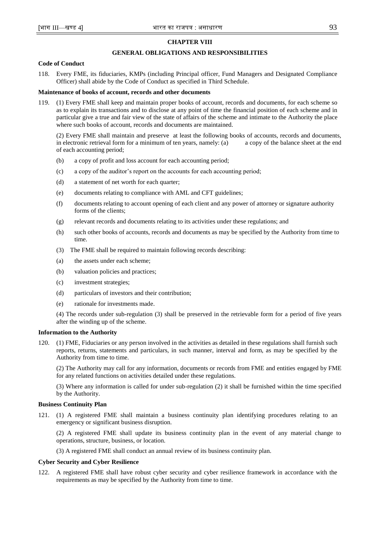# **CHAPTER VIII**

# **GENERAL OBLIGATIONS AND RESPONSIBILITIES**

# **Code of Conduct**

118. Every FME, its fiduciaries, KMPs (including Principal officer, Fund Managers and Designated Compliance Officer) shall abide by the Code of Conduct as specified in Third Schedule.

### **Maintenance of books of account, records and other documents**

119. (1) Every FME shall keep and maintain proper books of account, records and documents, for each scheme so as to explain its transactions and to disclose at any point of time the financial position of each scheme and in particular give a true and fair view of the state of affairs of the scheme and intimate to the Authority the place where such books of account, records and documents are maintained.

(2) Every FME shall maintain and preserve at least the following books of accounts, records and documents, in electronic retrieval form for a minimum of ten years, namely: (a) a copy of the balance sheet at the end of each accounting period;

- (b) a copy of profit and loss account for each accounting period;
- (c) a copy of the auditor's report on the accounts for each accounting period;
- (d) a statement of net worth for each quarter;
- (e) documents relating to compliance with AML and CFT guidelines;
- (f) documents relating to account opening of each client and any power of attorney or signature authority forms of the clients;
- (g) relevant records and documents relating to its activities under these regulations; and
- (h) such other books of accounts, records and documents as may be specified by the Authority from time to time.
- (3) The FME shall be required to maintain following records describing:
- (a) the assets under each scheme;
- (b) valuation policies and practices;
- (c) investment strategies;
- (d) particulars of investors and their contribution;
- (e) rationale for investments made.

(4) The records under sub-regulation (3) shall be preserved in the retrievable form for a period of five years after the winding up of the scheme.

# **Information to the Authority**

120. (1) FME, Fiduciaries or any person involved in the activities as detailed in these regulations shall furnish such reports, returns, statements and particulars, in such manner, interval and form, as may be specified by the Authority from time to time.

(2) The Authority may call for any information, documents or records from FME and entities engaged by FME for any related functions on activities detailed under these regulations.

(3) Where any information is called for under sub-regulation (2) it shall be furnished within the time specified by the Authority.

#### **Business Continuity Plan**

121. (1) A registered FME shall maintain a business continuity plan identifying procedures relating to an emergency or significant business disruption.

(2) A registered FME shall update its business continuity plan in the event of any material change to operations, structure, business, or location.

(3) A registered FME shall conduct an annual review of its business continuity plan.

#### **Cyber Security and Cyber Resilience**

122. A registered FME shall have robust cyber security and cyber resilience framework in accordance with the requirements as may be specified by the Authority from time to time.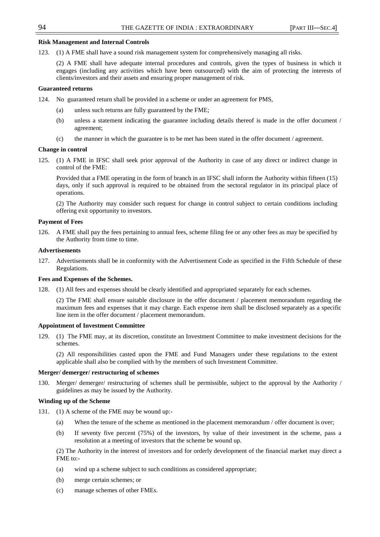# **Risk Management and Internal Controls**

123. (1) A FME shall have a sound risk management system for comprehensively managing all risks.

(2) A FME shall have adequate internal procedures and controls, given the types of business in which it engages (including any activities which have been outsourced) with the aim of protecting the interests of clients/investors and their assets and ensuring proper management of risk.

### **Guaranteed returns**

- 124. No guaranteed return shall be provided in a scheme or under an agreement for PMS,
	- (a) unless such returns are fully guaranteed by the FME;
	- (b) unless a statement indicating the guarantee including details thereof is made in the offer document / agreement;
	- (c) the manner in which the guarantee is to be met has been stated in the offer document / agreement.

#### **Change in control**

125. (1) A FME in IFSC shall seek prior approval of the Authority in case of any direct or indirect change in control of the FME:

Provided that a FME operating in the form of branch in an IFSC shall inform the Authority within fifteen (15) days, only if such approval is required to be obtained from the sectoral regulator in its principal place of operations.

(2) The Authority may consider such request for change in control subject to certain conditions including offering exit opportunity to investors.

# **Payment of Fees**

126. A FME shall pay the fees pertaining to annual fees, scheme filing fee or any other fees as may be specified by the Authority from time to time.

#### **Advertisements**

127. Advertisements shall be in conformity with the Advertisement Code as specified in the Fifth Schedule of these Regulations.

#### **Fees and Expenses of the Schemes.**

128. (1) All fees and expenses should be clearly identified and appropriated separately for each schemes.

(2) The FME shall ensure suitable disclosure in the offer document / placement memorandum regarding the maximum fees and expenses that it may charge. Each expense item shall be disclosed separately as a specific line item in the offer document / placement memorandum.

# **Appointment of Investment Committee**

129. (1) The FME may, at its discretion, constitute an Investment Committee to make investment decisions for the schemes.

(2) All responsibilities casted upon the FME and Fund Managers under these regulations to the extent applicable shall also be complied with by the members of such Investment Committee.

#### **Merger/ demerger/ restructuring of schemes**

Merger/ demerger/ restructuring of schemes shall be permissible, subject to the approval by the Authority / guidelines as may be issued by the Authority.

# **Winding up of the Scheme**

- 131. (1) A scheme of the FME may be wound up:-
	- (a) When the tenure of the scheme as mentioned in the placement memorandum / offer document is over;
	- (b) If seventy five percent (75%) of the investors, by value of their investment in the scheme, pass a resolution at a meeting of investors that the scheme be wound up.

(2) The Authority in the interest of investors and for orderly development of the financial market may direct a FME to:-

- (a) wind up a scheme subject to such conditions as considered appropriate;
- (b) merge certain schemes; or
- (c) manage schemes of other FMEs.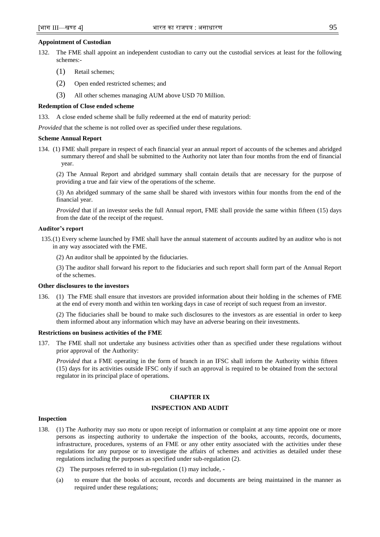# **Appointment of Custodian**

- 132. The FME shall appoint an independent custodian to carry out the custodial services at least for the following schemes:-
	- (1) Retail schemes;
	- (2) Open ended restricted schemes; and
	- (3) All other schemes managing AUM above USD 70 Million.

# **Redemption of Close ended scheme**

133. A close ended scheme shall be fully redeemed at the end of maturity period:

*Provided* that the scheme is not rolled over as specified under these regulations.

#### **Scheme Annual Report**

134. (1) FME shall prepare in respect of each financial year an annual report of accounts of the schemes and abridged summary thereof and shall be submitted to the Authority not later than four months from the end of financial year.

(2) The Annual Report and abridged summary shall contain details that are necessary for the purpose of providing a true and fair view of the operations of the scheme.

(3) An abridged summary of the same shall be shared with investors within four months from the end of the financial year.

*Provided* that if an investor seeks the full Annual report, FME shall provide the same within fifteen (15) days from the date of the receipt of the request.

#### **Auditor's report**

135.(1) Every scheme launched by FME shall have the annual statement of accounts audited by an auditor who is not in any way associated with the FME.

(2) An auditor shall be appointed by the fiduciaries.

(3) The auditor shall forward his report to the fiduciaries and such report shall form part of the Annual Report of the schemes.

#### **Other disclosures to the investors**

136. (1) The FME shall ensure that investors are provided information about their holding in the schemes of FME at the end of every month and within ten working days in case of receipt of such request from an investor.

(2) The fiduciaries shall be bound to make such disclosures to the investors as are essential in order to keep them informed about any information which may have an adverse bearing on their investments.

### **Restrictions on business activities of the FME**

137. The FME shall not undertake any business activities other than as specified under these regulations without prior approval of the Authority:

*Provided t*hat a FME operating in the form of branch in an IFSC shall inform the Authority within fifteen (15) days for its activities outside IFSC only if such an approval is required to be obtained from the sectoral regulator in its principal place of operations.

# **CHAPTER IX**

# **INSPECTION AND AUDIT**

#### **Inspection**

- 138. (1) The Authority may *suo motu* or upon receipt of information or complaint at any time appoint one or more persons as inspecting authority to undertake the inspection of the books, accounts, records, documents, infrastructure, procedures, systems of an FME or any other entity associated with the activities under these regulations for any purpose or to investigate the affairs of schemes and activities as detailed under these regulations including the purposes as specified under sub-regulation (2).
	- (2) The purposes referred to in sub-regulation (1) may include, -
	- (a) to ensure that the books of account, records and documents are being maintained in the manner as required under these regulations;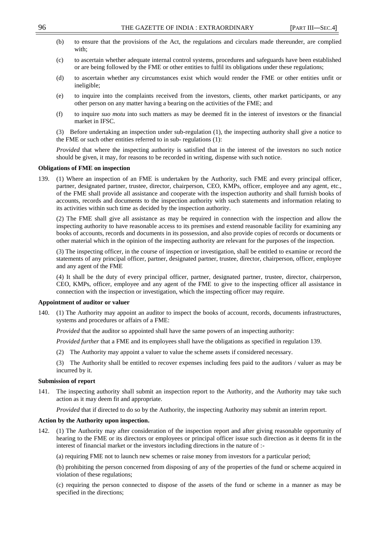- (b) to ensure that the provisions of the Act, the regulations and circulars made thereunder, are complied with:
- (c) to ascertain whether adequate internal control systems, procedures and safeguards have been established or are being followed by the FME or other entities to fulfil its obligations under these regulations;
- (d) to ascertain whether any circumstances exist which would render the FME or other entities unfit or ineligible;
- (e) to inquire into the complaints received from the investors, clients, other market participants, or any other person on any matter having a bearing on the activities of the FME; and
- (f) to inquire *suo motu* into such matters as may be deemed fit in the interest of investors or the financial market in IFSC.

(3) Before undertaking an inspection under sub-regulation (1), the inspecting authority shall give a notice to the FME or such other entities referred to in sub- regulations (1):

*Provided* that where the inspecting authority is satisfied that in the interest of the investors no such notice should be given, it may, for reasons to be recorded in writing, dispense with such notice.

#### **Obligations of FME on inspection**

139. (1) Where an inspection of an FME is undertaken by the Authority, such FME and every principal officer, partner, designated partner, trustee, director, chairperson, CEO, KMPs, officer, employee and any agent, etc., of the FME shall provide all assistance and cooperate with the inspection authority and shall furnish books of accounts, records and documents to the inspection authority with such statements and information relating to its activities within such time as decided by the inspection authority.

(2) The FME shall give all assistance as may be required in connection with the inspection and allow the inspecting authority to have reasonable access to its premises and extend reasonable facility for examining any books of accounts, records and documents in its possession, and also provide copies of records or documents or other material which in the opinion of the inspecting authority are relevant for the purposes of the inspection.

(3) The inspecting officer, in the course of inspection or investigation, shall be entitled to examine or record the statements of any principal officer, partner, designated partner, trustee, director, chairperson, officer, employee and any agent of the FME

(4) It shall be the duty of every principal officer, partner, designated partner, trustee, director, chairperson, CEO, KMPs, officer, employee and any agent of the FME to give to the inspecting officer all assistance in connection with the inspection or investigation, which the inspecting officer may require.

### **Appointment of auditor or valuer**

140. (1) The Authority may appoint an auditor to inspect the books of account, records, documents infrastructures, systems and procedures or affairs of a FME:

*Provided* that the auditor so appointed shall have the same powers of an inspecting authority:

*Provided further* that a FME and its employees shall have the obligations as specified in regulation 139.

(2) The Authority may appoint a valuer to value the scheme assets if considered necessary.

(3) The Authority shall be entitled to recover expenses including fees paid to the auditors / valuer as may be incurred by it.

# **Submission of report**

141. The inspecting authority shall submit an inspection report to the Authority, and the Authority may take such action as it may deem fit and appropriate.

*Provided* that if directed to do so by the Authority, the inspecting Authority may submit an interim report.

#### **Action by the Authority upon inspection.**

142. (1) The Authority may after consideration of the inspection report and after giving reasonable opportunity of hearing to the FME or its directors or employees or principal officer issue such direction as it deems fit in the interest of financial market or the investors including directions in the nature of :-

(a) requiring FME not to launch new schemes or raise money from investors for a particular period;

(b) prohibiting the person concerned from disposing of any of the properties of the fund or scheme acquired in violation of these regulations;

(c) requiring the person connected to dispose of the assets of the fund or scheme in a manner as may be specified in the directions;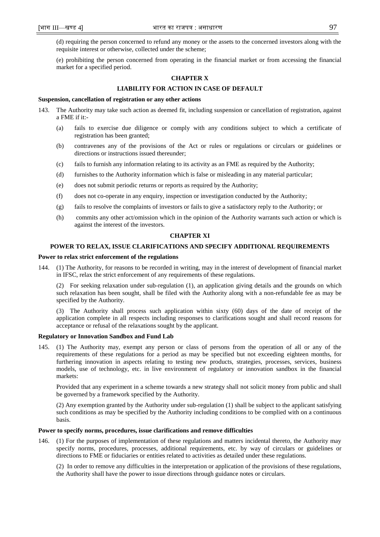(d) requiring the person concerned to refund any money or the assets to the concerned investors along with the requisite interest or otherwise, collected under the scheme;

(e) prohibiting the person concerned from operating in the financial market or from accessing the financial market for a specified period.

# **CHAPTER X**

# **LIABILITY FOR ACTION IN CASE OF DEFAULT**

#### **Suspension, cancellation of registration or any other actions**

- 143. The Authority may take such action as deemed fit, including suspension or cancellation of registration, against a FME if it:-
	- (a) fails to exercise due diligence or comply with any conditions subject to which a certificate of registration has been granted;
	- (b) contravenes any of the provisions of the Act or rules or regulations or circulars or guidelines or directions or instructions issued thereunder;
	- (c) fails to furnish any information relating to its activity as an FME as required by the Authority;
	- (d) furnishes to the Authority information which is false or misleading in any material particular;
	- (e) does not submit periodic returns or reports as required by the Authority;
	- (f) does not co-operate in any enquiry, inspection or investigation conducted by the Authority;
	- (g) fails to resolve the complaints of investors or fails to give a satisfactory reply to the Authority; or
	- (h) commits any other act/omission which in the opinion of the Authority warrants such action or which is against the interest of the investors.

# **CHAPTER XI**

#### **POWER TO RELAX, ISSUE CLARIFICATIONS AND SPECIFY ADDITIONAL REQUIREMENTS**

#### **Power to relax strict enforcement of the regulations**

144. (1) The Authority, for reasons to be recorded in writing, may in the interest of development of financial market in IFSC, relax the strict enforcement of any requirements of these regulations.

(2) For seeking relaxation under sub-regulation (1), an application giving details and the grounds on which such relaxation has been sought, shall be filed with the Authority along with a non-refundable fee as may be specified by the Authority.

(3) The Authority shall process such application within sixty (60) days of the date of receipt of the application complete in all respects including responses to clarifications sought and shall record reasons for acceptance or refusal of the relaxations sought by the applicant.

#### **Regulatory or Innovation Sandbox and Fund Lab**

145. (1) The Authority may, exempt any person or class of persons from the operation of all or any of the requirements of these regulations for a period as may be specified but not exceeding eighteen months, for furthering innovation in aspects relating to testing new products, strategies, processes, services, business models, use of technology, etc. in live environment of regulatory or innovation sandbox in the financial markets:

Provided that any experiment in a scheme towards a new strategy shall not solicit money from public and shall be governed by a framework specified by the Authority.

(2) Any exemption granted by the Authority under sub-regulation (1) shall be subject to the applicant satisfying such conditions as may be specified by the Authority including conditions to be complied with on a continuous basis.

#### **Power to specify norms, procedures, issue clarifications and remove difficulties**

146. (1) For the purposes of implementation of these regulations and matters incidental thereto, the Authority may specify norms, procedures, processes, additional requirements, etc. by way of circulars or guidelines or directions to FME or fiduciaries or entities related to activities as detailed under these regulations.

(2) In order to remove any difficulties in the interpretation or application of the provisions of these regulations, the Authority shall have the power to issue directions through guidance notes or circulars.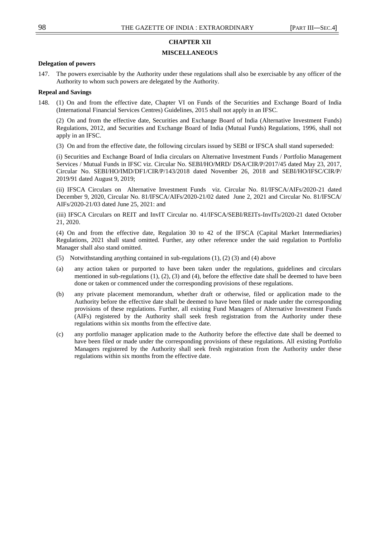# **CHAPTER XII**

# **MISCELLANEOUS**

# **Delegation of powers**

147. The powers exercisable by the Authority under these regulations shall also be exercisable by any officer of the Authority to whom such powers are delegated by the Authority.

#### **Repeal and Savings**

148. (1) On and from the effective date, Chapter VI on Funds of the Securities and Exchange Board of India (International Financial Services Centres) Guidelines, 2015 shall not apply in an IFSC.

(2) On and from the effective date, Securities and Exchange Board of India (Alternative Investment Funds) Regulations, 2012, and Securities and Exchange Board of India (Mutual Funds) Regulations, 1996, shall not apply in an IFSC.

(3) On and from the effective date, the following circulars issued by SEBI or IFSCA shall stand superseded:

(i) Securities and Exchange Board of India circulars on Alternative Investment Funds / Portfolio Management Services / Mutual Funds in IFSC viz. Circular No. SEBI/HO/MRD/ DSA/CIR/P/2017/45 dated May 23, 2017, Circular No. SEBI/HO/IMD/DF1/CIR/P/143/2018 dated November 26, 2018 and SEBI/HO/IFSC/CIR/P/ 2019/91 dated August 9, 2019;

(ii) IFSCA Circulars on Alternative Investment Funds viz. Circular No. 81/IFSCA/AIFs/2020-21 dated December 9, 2020, Circular No. 81/IFSCA/AIFs/2020-21/02 dated June 2, 2021 and Circular No. 81/IFSCA/ AIFs/2020-21/03 dated June 25, 2021: and

(iii) IFSCA Circulars on REIT and InvIT Circular no. 41/IFSCA/SEBI/REITs-InvITs/2020-21 dated October 21, 2020.

(4) On and from the effective date, Regulation 30 to 42 of the IFSCA (Capital Market Intermediaries) Regulations, 2021 shall stand omitted. Further, any other reference under the said regulation to Portfolio Manager shall also stand omitted.

- (5) Notwithstanding anything contained in sub-regulations (1), (2) (3) and (4) above
- (a) any action taken or purported to have been taken under the regulations, guidelines and circulars mentioned in sub-regulations (1), (2), (3) and (4), before the effective date shall be deemed to have been done or taken or commenced under the corresponding provisions of these regulations.
- (b) any private placement memorandum, whether draft or otherwise, filed or application made to the Authority before the effective date shall be deemed to have been filed or made under the corresponding provisions of these regulations. Further, all existing Fund Managers of Alternative Investment Funds (AIFs) registered by the Authority shall seek fresh registration from the Authority under these regulations within six months from the effective date.
- (c) any portfolio manager application made to the Authority before the effective date shall be deemed to have been filed or made under the corresponding provisions of these regulations. All existing Portfolio Managers registered by the Authority shall seek fresh registration from the Authority under these regulations within six months from the effective date.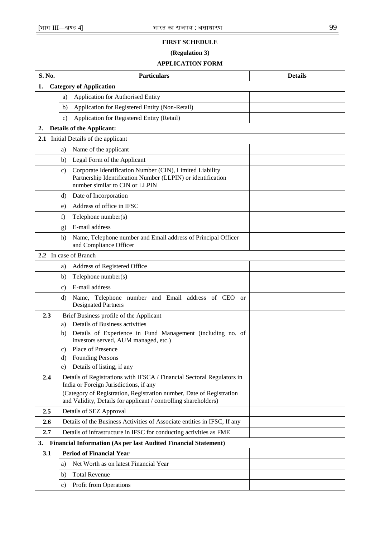# **FIRST SCHEDULE**

# **(Regulation 3)**

# **APPLICATION FORM**

| S. No.                                                                       |                                                                                                                                         | <b>Particulars</b>                                                                                                                                        | <b>Details</b> |  |  |
|------------------------------------------------------------------------------|-----------------------------------------------------------------------------------------------------------------------------------------|-----------------------------------------------------------------------------------------------------------------------------------------------------------|----------------|--|--|
| 1.                                                                           | <b>Category of Application</b>                                                                                                          |                                                                                                                                                           |                |  |  |
|                                                                              | a)                                                                                                                                      | Application for Authorised Entity                                                                                                                         |                |  |  |
|                                                                              | b)                                                                                                                                      | Application for Registered Entity (Non-Retail)                                                                                                            |                |  |  |
|                                                                              | $\mathbf{c})$                                                                                                                           | Application for Registered Entity (Retail)                                                                                                                |                |  |  |
| 2.                                                                           |                                                                                                                                         | <b>Details of the Applicant:</b>                                                                                                                          |                |  |  |
|                                                                              | 2.1 Initial Details of the applicant                                                                                                    |                                                                                                                                                           |                |  |  |
|                                                                              | Name of the applicant<br>a)                                                                                                             |                                                                                                                                                           |                |  |  |
|                                                                              | b)                                                                                                                                      | Legal Form of the Applicant                                                                                                                               |                |  |  |
|                                                                              | C)                                                                                                                                      | Corporate Identification Number (CIN), Limited Liability<br>Partnership Identification Number (LLPIN) or identification<br>number similar to CIN or LLPIN |                |  |  |
|                                                                              | d)                                                                                                                                      | Date of Incorporation                                                                                                                                     |                |  |  |
|                                                                              | Address of office in IFSC<br>$\epsilon$ )                                                                                               |                                                                                                                                                           |                |  |  |
|                                                                              | f)<br>Telephone number(s)                                                                                                               |                                                                                                                                                           |                |  |  |
|                                                                              | g)                                                                                                                                      | E-mail address                                                                                                                                            |                |  |  |
|                                                                              | h)                                                                                                                                      | Name, Telephone number and Email address of Principal Officer<br>and Compliance Officer                                                                   |                |  |  |
|                                                                              |                                                                                                                                         | 2.2 In case of Branch                                                                                                                                     |                |  |  |
|                                                                              | a)                                                                                                                                      | Address of Registered Office                                                                                                                              |                |  |  |
|                                                                              | b)                                                                                                                                      | Telephone number(s)                                                                                                                                       |                |  |  |
|                                                                              | $\mathbf{c})$                                                                                                                           | E-mail address                                                                                                                                            |                |  |  |
|                                                                              | d)                                                                                                                                      | Name, Telephone number and Email address of CEO or<br><b>Designated Partners</b>                                                                          |                |  |  |
| 2.3                                                                          | a)                                                                                                                                      | Brief Business profile of the Applicant<br>Details of Business activities                                                                                 |                |  |  |
|                                                                              | b)                                                                                                                                      | Details of Experience in Fund Management (including no. of<br>investors served, AUM managed, etc.)                                                        |                |  |  |
|                                                                              | c)                                                                                                                                      | Place of Presence                                                                                                                                         |                |  |  |
|                                                                              | d)                                                                                                                                      | <b>Founding Persons</b>                                                                                                                                   |                |  |  |
|                                                                              | e)                                                                                                                                      | Details of listing, if any                                                                                                                                |                |  |  |
| 2.4                                                                          |                                                                                                                                         | Details of Registrations with IFSCA / Financial Sectoral Regulators in<br>India or Foreign Jurisdictions, if any                                          |                |  |  |
|                                                                              | (Category of Registration, Registration number, Date of Registration<br>and Validity, Details for applicant / controlling shareholders) |                                                                                                                                                           |                |  |  |
| 2.5                                                                          |                                                                                                                                         | Details of SEZ Approval                                                                                                                                   |                |  |  |
| 2.6                                                                          |                                                                                                                                         | Details of the Business Activities of Associate entities in IFSC, If any                                                                                  |                |  |  |
| 2.7                                                                          |                                                                                                                                         | Details of infrastructure in IFSC for conducting activities as FME                                                                                        |                |  |  |
| <b>Financial Information (As per last Audited Financial Statement)</b><br>3. |                                                                                                                                         |                                                                                                                                                           |                |  |  |
| 3.1                                                                          |                                                                                                                                         | <b>Period of Financial Year</b>                                                                                                                           |                |  |  |
|                                                                              | a)                                                                                                                                      | Net Worth as on latest Financial Year                                                                                                                     |                |  |  |
|                                                                              | b)                                                                                                                                      | <b>Total Revenue</b>                                                                                                                                      |                |  |  |
|                                                                              | $\mathbf{c})$                                                                                                                           | Profit from Operations                                                                                                                                    |                |  |  |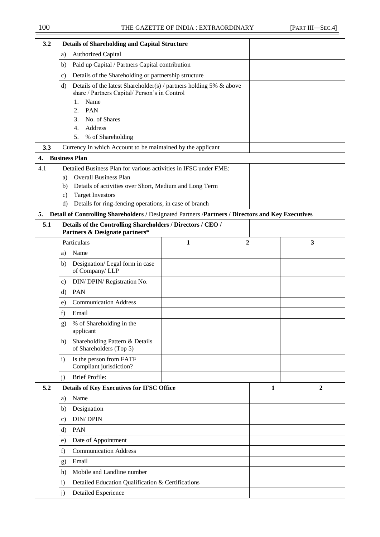| 3.2 | <b>Details of Shareholding and Capital Structure</b>                                                                                    |   |                |   |   |
|-----|-----------------------------------------------------------------------------------------------------------------------------------------|---|----------------|---|---|
|     | <b>Authorized Capital</b><br>a)                                                                                                         |   |                |   |   |
|     | Paid up Capital / Partners Capital contribution<br>b)                                                                                   |   |                |   |   |
|     | Details of the Shareholding or partnership structure<br>c)                                                                              |   |                |   |   |
|     | Details of the latest Shareholder(s) / partners holding 5% & above<br>d)<br>share / Partners Capital/ Person's in Control<br>Name<br>1. |   |                |   |   |
|     | PAN<br>2.                                                                                                                               |   |                |   |   |
|     | No. of Shares<br>3.                                                                                                                     |   |                |   |   |
|     | Address<br>4.                                                                                                                           |   |                |   |   |
|     | % of Shareholding<br>5.                                                                                                                 |   |                |   |   |
| 3.3 | Currency in which Account to be maintained by the applicant                                                                             |   |                |   |   |
| 4.  | <b>Business Plan</b>                                                                                                                    |   |                |   |   |
| 4.1 | Detailed Business Plan for various activities in IFSC under FME:                                                                        |   |                |   |   |
|     | <b>Overall Business Plan</b><br>a)                                                                                                      |   |                |   |   |
|     | Details of activities over Short, Medium and Long Term<br>b)                                                                            |   |                |   |   |
|     | <b>Target Investors</b><br>$\mathbf{c})$<br>Details for ring-fencing operations, in case of branch<br>d)                                |   |                |   |   |
| 5.  | Detail of Controlling Shareholders / Designated Partners / Partners / Directors and Key Executives                                      |   |                |   |   |
| 5.1 | Details of the Controlling Shareholders / Directors / CEO /                                                                             |   |                |   |   |
|     | Partners & Designate partners*                                                                                                          |   |                |   |   |
|     | Particulars                                                                                                                             | 1 | $\overline{2}$ |   | 3 |
|     | Name<br>a)                                                                                                                              |   |                |   |   |
|     | Designation/Legal form in case<br>b)<br>of Company/LLP                                                                                  |   |                |   |   |
|     | DIN/ DPIN/ Registration No.<br>c)                                                                                                       |   |                |   |   |
|     | PAN<br>d)                                                                                                                               |   |                |   |   |
|     | <b>Communication Address</b><br>e)                                                                                                      |   |                |   |   |
|     | f)<br>Email                                                                                                                             |   |                |   |   |
|     | % of Shareholding in the<br>g)<br>applicant                                                                                             |   |                |   |   |
|     | Shareholding Pattern & Details<br>h)<br>of Shareholders (Top 5)                                                                         |   |                |   |   |
|     | Is the person from FATF<br>$\mathbf{i}$<br>Compliant jurisdiction?                                                                      |   |                |   |   |
|     | <b>Brief Profile:</b><br>j)                                                                                                             |   |                |   |   |
| 5.2 | <b>Details of Key Executives for IFSC Office</b>                                                                                        |   |                | 1 | 2 |
|     | Name<br>a)                                                                                                                              |   |                |   |   |
|     | Designation<br>b)                                                                                                                       |   |                |   |   |
|     | <b>DIN/DPIN</b><br>c)                                                                                                                   |   |                |   |   |
|     | PAN<br>d)                                                                                                                               |   |                |   |   |
|     | Date of Appointment<br>e)                                                                                                               |   |                |   |   |
|     | <b>Communication Address</b><br>f)                                                                                                      |   |                |   |   |
|     | Email<br>g)<br>Mobile and Landline number<br>h)                                                                                         |   |                |   |   |
|     |                                                                                                                                         |   |                |   |   |
|     | Detailed Education Qualification & Certifications<br>$\mathbf{i}$                                                                       |   |                |   |   |
|     | <b>Detailed Experience</b><br>j)                                                                                                        |   |                |   |   |
|     |                                                                                                                                         |   |                |   |   |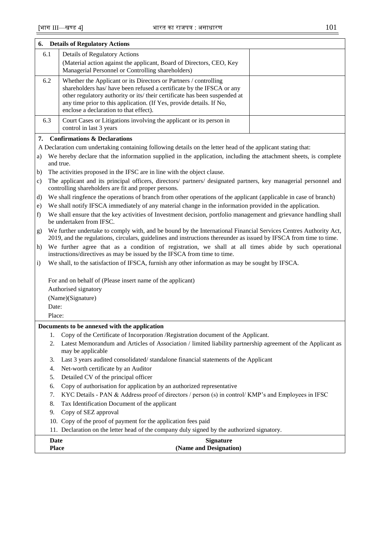| 6.            | <b>Details of Regulatory Actions</b>                                                                              |                                                                                                                                                                                                                                                                                                                                           |  |  |  |
|---------------|-------------------------------------------------------------------------------------------------------------------|-------------------------------------------------------------------------------------------------------------------------------------------------------------------------------------------------------------------------------------------------------------------------------------------------------------------------------------------|--|--|--|
| 6.1           |                                                                                                                   | <b>Details of Regulatory Actions</b>                                                                                                                                                                                                                                                                                                      |  |  |  |
|               |                                                                                                                   | (Material action against the applicant, Board of Directors, CEO, Key<br>Managerial Personnel or Controlling shareholders)                                                                                                                                                                                                                 |  |  |  |
| 6.2           |                                                                                                                   | Whether the Applicant or its Directors or Partners / controlling<br>shareholders has/ have been refused a certificate by the IFSCA or any<br>other regulatory authority or its/ their certificate has been suspended at<br>any time prior to this application. (If Yes, provide details. If No,<br>enclose a declaration to that effect). |  |  |  |
| 6.3           |                                                                                                                   | Court Cases or Litigations involving the applicant or its person in<br>control in last 3 years                                                                                                                                                                                                                                            |  |  |  |
| 7.            |                                                                                                                   | <b>Confirmations &amp; Declarations</b>                                                                                                                                                                                                                                                                                                   |  |  |  |
|               |                                                                                                                   | A Declaration cum undertaking containing following details on the letter head of the applicant stating that:                                                                                                                                                                                                                              |  |  |  |
| a)            |                                                                                                                   | We hereby declare that the information supplied in the application, including the attachment sheets, is complete                                                                                                                                                                                                                          |  |  |  |
|               |                                                                                                                   | and true.                                                                                                                                                                                                                                                                                                                                 |  |  |  |
| b)            |                                                                                                                   | The activities proposed in the IFSC are in line with the object clause.                                                                                                                                                                                                                                                                   |  |  |  |
| $\mathbf{c})$ |                                                                                                                   | The applicant and its principal officers, directors/ partners/ designated partners, key managerial personnel and<br>controlling shareholders are fit and proper persons.                                                                                                                                                                  |  |  |  |
| d)            | We shall ringfence the operations of branch from other operations of the applicant (applicable in case of branch) |                                                                                                                                                                                                                                                                                                                                           |  |  |  |
| e)            |                                                                                                                   | We shall notify IFSCA immediately of any material change in the information provided in the application.                                                                                                                                                                                                                                  |  |  |  |
| f)            |                                                                                                                   | We shall ensure that the key activities of Investment decision, portfolio management and grievance handling shall<br>be undertaken from IFSC.                                                                                                                                                                                             |  |  |  |
| g)            |                                                                                                                   | We further undertake to comply with, and be bound by the International Financial Services Centres Authority Act,<br>2019, and the regulations, circulars, guidelines and instructions thereunder as issued by IFSCA from time to time.                                                                                                    |  |  |  |
| h)            |                                                                                                                   | We further agree that as a condition of registration, we shall at all times abide by such operational<br>instructions/directives as may be issued by the IFSCA from time to time.                                                                                                                                                         |  |  |  |
| $\mathbf{i}$  |                                                                                                                   | We shall, to the satisfaction of IFSCA, furnish any other information as may be sought by IFSCA.                                                                                                                                                                                                                                          |  |  |  |
|               |                                                                                                                   | For and on behalf of (Please insert name of the applicant)                                                                                                                                                                                                                                                                                |  |  |  |
|               |                                                                                                                   | Authorised signatory                                                                                                                                                                                                                                                                                                                      |  |  |  |
|               |                                                                                                                   | (Name)(Signature)                                                                                                                                                                                                                                                                                                                         |  |  |  |
|               | Date:                                                                                                             |                                                                                                                                                                                                                                                                                                                                           |  |  |  |
|               | Place:                                                                                                            |                                                                                                                                                                                                                                                                                                                                           |  |  |  |
|               |                                                                                                                   | Documents to be annexed with the application                                                                                                                                                                                                                                                                                              |  |  |  |
|               | 1.                                                                                                                | Copy of the Certificate of Incorporation /Registration document of the Applicant.                                                                                                                                                                                                                                                         |  |  |  |
|               | 2.                                                                                                                | Latest Memorandum and Articles of Association / limited liability partnership agreement of the Applicant as<br>may be applicable                                                                                                                                                                                                          |  |  |  |
|               | 3.                                                                                                                | Last 3 years audited consolidated/standalone financial statements of the Applicant                                                                                                                                                                                                                                                        |  |  |  |
|               | 4.                                                                                                                | Net-worth certificate by an Auditor                                                                                                                                                                                                                                                                                                       |  |  |  |
|               | 5.                                                                                                                | Detailed CV of the principal officer                                                                                                                                                                                                                                                                                                      |  |  |  |
|               | 6.<br>7.                                                                                                          | Copy of authorisation for application by an authorized representative<br>KYC Details - PAN & Address proof of directors / person (s) in control/ KMP's and Employees in IFSC                                                                                                                                                              |  |  |  |
|               | 8.                                                                                                                | Tax Identification Document of the applicant                                                                                                                                                                                                                                                                                              |  |  |  |
|               | 9.                                                                                                                | Copy of SEZ approval                                                                                                                                                                                                                                                                                                                      |  |  |  |
|               |                                                                                                                   | 10. Copy of the proof of payment for the application fees paid                                                                                                                                                                                                                                                                            |  |  |  |
|               |                                                                                                                   | 11. Declaration on the letter head of the company duly signed by the authorized signatory.                                                                                                                                                                                                                                                |  |  |  |
|               | Date                                                                                                              | <b>Signature</b>                                                                                                                                                                                                                                                                                                                          |  |  |  |
|               | <b>Place</b>                                                                                                      | (Name and Designation)                                                                                                                                                                                                                                                                                                                    |  |  |  |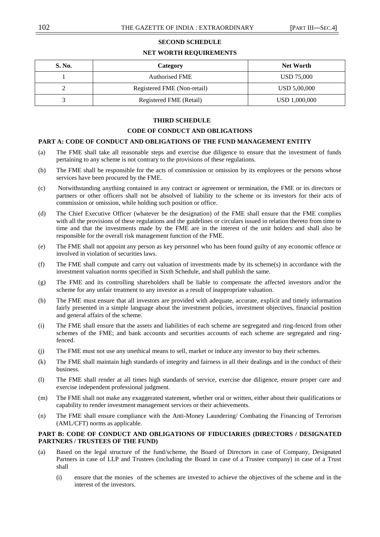# **SECOND SCHEDULE**

# **NET WORTH REQUIREMENTS**

| S. No. | Category                    | <b>Net Worth</b> |
|--------|-----------------------------|------------------|
|        | <b>Authorised FME</b>       | USD 75,000       |
|        | Registered FME (Non-retail) | USD 5,00,000     |
|        | Registered FME (Retail)     | USD 1,000,000    |

# **THIRD SCHEDULE**

# **CODE OF CONDUCT AND OBLIGATIONS**

# **PART A: CODE OF CONDUCT AND OBLIGATIONS OF THE FUND MANAGEMENT ENTITY**

- (a) The FME shall take all reasonable steps and exercise due diligence to ensure that the investment of funds pertaining to any scheme is not contrary to the provisions of these regulations.
- (b) The FME shall be responsible for the acts of commission or omission by its employees or the persons whose services have been procured by the FME.
- (c) Notwithstanding anything contained in any contract or agreement or termination, the FME or its directors or partners or other officers shall not be absolved of liability to the scheme or its investors for their acts of commission or omission, while holding such position or office.
- (d) The Chief Executive Officer (whatever be the designation) of the FME shall ensure that the FME complies with all the provisions of these regulations and the guidelines or circulars issued in relation thereto from time to time and that the investments made by the FME are in the interest of the unit holders and shall also be responsible for the overall risk management function of the FME.
- (e) The FME shall not appoint any person as key personnel who has been found guilty of any economic offence or involved in violation of securities laws.
- (f) The FME shall compute and carry out valuation of investments made by its scheme(s) in accordance with the investment valuation norms specified in Sixth Schedule, and shall publish the same.
- (g) The FME and its controlling shareholders shall be liable to compensate the affected investors and/or the scheme for any unfair treatment to any investor as a result of inappropriate valuation.
- (h) The FME must ensure that all investors are provided with adequate, accurate, explicit and timely information fairly presented in a simple language about the investment policies, investment objectives, financial position and general affairs of the scheme.
- (i) The FME shall ensure that the assets and liabilities of each scheme are segregated and ring-fenced from other schemes of the FME; and bank accounts and securities accounts of each scheme are segregated and ringfenced.
- (j) The FME must not use any unethical means to sell, market or induce any investor to buy their schemes.
- (k) The FME shall maintain high standards of integrity and fairness in all their dealings and in the conduct of their business.
- (l) The FME shall render at all times high standards of service, exercise due diligence, ensure proper care and exercise independent professional judgment.
- (m) The FME shall not make any exaggerated statement, whether oral or written, either about their qualifications or capability to render investment management services or their achievements.
- (n) The FME shall ensure compliance with the Anti-Money Laundering/ Combating the Financing of Terrorism (AML/CFT) norms as applicable.

# **PART B: CODE OF CONDUCT AND OBLIGATIONS OF FIDUCIARIES (DIRECTORS / DESIGNATED PARTNERS / TRUSTEES OF THE FUND)**

- (a) Based on the legal structure of the fund/scheme, the Board of Directors in case of Company, Designated Partners in case of LLP and Trustees (including the Board in case of a Trustee company) in case of a Trust shall
	- (i) ensure that the monies of the schemes are invested to achieve the objectives of the scheme and in the interest of the investors.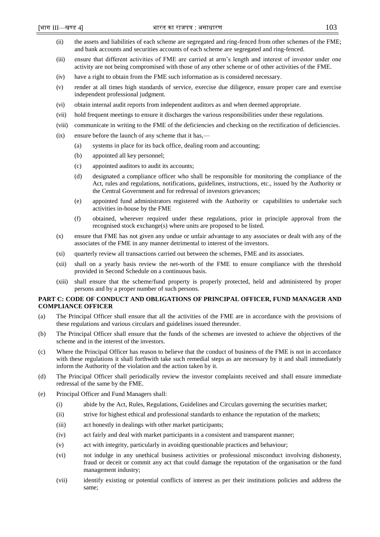- (ii) the assets and liabilities of each scheme are segregated and ring-fenced from other schemes of the FME; and bank accounts and securities accounts of each scheme are segregated and ring-fenced.
- (iii) ensure that different activities of FME are carried at arm's length and interest of investor under one activity are not being compromised with those of any other scheme or of other activities of the FME.
- (iv) have a right to obtain from the FME such information as is considered necessary.
- (v) render at all times high standards of service, exercise due diligence, ensure proper care and exercise independent professional judgment.
- (vi) obtain internal audit reports from independent auditors as and when deemed appropriate.
- (vii) hold frequent meetings to ensure it discharges the various responsibilities under these regulations.
- (viii) communicate in writing to the FME of the deficiencies and checking on the rectification of deficiencies.
- (ix) ensure before the launch of any scheme that it has,—
	- (a) systems in place for its back office, dealing room and accounting;
	- (b) appointed all key personnel;
	- (c) appointed auditors to audit its accounts;
	- (d) designated a compliance officer who shall be responsible for monitoring the compliance of the Act, rules and regulations, notifications, guidelines, instructions, etc., issued by the Authority or the Central Government and for redressal of investors grievances;
	- (e) appointed fund administrators registered with the Authority or capabilities to undertake such activities in-house by the FME
	- (f) obtained, wherever required under these regulations, prior in principle approval from the recognised stock exchange(s) where units are proposed to be listed.
- (x) ensure that FME has not given any undue or unfair advantage to any associates or dealt with any of the associates of the FME in any manner detrimental to interest of the investors.
- (xi) quarterly review all transactions carried out between the schemes, FME and its associates.
- (xii) shall on a yearly basis review the net-worth of the FME to ensure compliance with the threshold provided in Second Schedule on a continuous basis.
- (xiii) shall ensure that the scheme/fund property is properly protected, held and administered by proper persons and by a proper number of such persons.

# **PART C: CODE OF CONDUCT AND OBLIGATIONS OF PRINCIPAL OFFICER, FUND MANAGER AND COMPLIANCE OFFICER**

- (a) The Principal Officer shall ensure that all the activities of the FME are in accordance with the provisions of these regulations and various circulars and guidelines issued thereunder.
- (b) The Principal Officer shall ensure that the funds of the schemes are invested to achieve the objectives of the scheme and in the interest of the investors.
- (c) Where the Principal Officer has reason to believe that the conduct of business of the FME is not in accordance with these regulations it shall forthwith take such remedial steps as are necessary by it and shall immediately inform the Authority of the violation and the action taken by it.
- (d) The Principal Officer shall periodically review the investor complaints received and shall ensure immediate redressal of the same by the FME.
- (e) Principal Officer and Fund Managers shall:
	- (i) abide by the Act, Rules, Regulations, Guidelines and Circulars governing the securities market;
	- (ii) strive for highest ethical and professional standards to enhance the reputation of the markets;
	- (iii) act honestly in dealings with other market participants;
	- (iv) act fairly and deal with market participants in a consistent and transparent manner;
	- (v) act with integrity, particularly in avoiding questionable practices and behaviour;
	- (vi) not indulge in any unethical business activities or professional misconduct involving dishonesty, fraud or deceit or commit any act that could damage the reputation of the organisation or the fund management industry;
	- (vii) identify existing or potential conflicts of interest as per their institutions policies and address the same;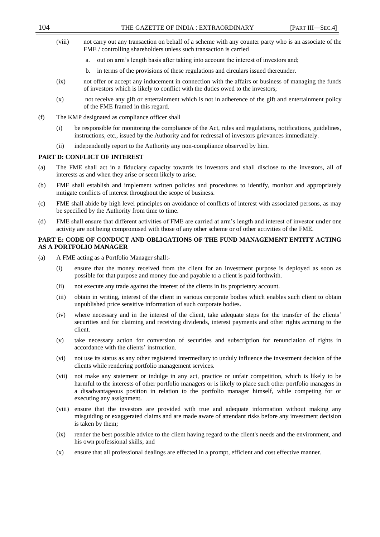- (viii) not carry out any transaction on behalf of a scheme with any counter party who is an associate of the FME / controlling shareholders unless such transaction is carried
	- a. out on arm's length basis after taking into account the interest of investors and;
	- b. in terms of the provisions of these regulations and circulars issued thereunder.
- (ix) not offer or accept any inducement in connection with the affairs or business of managing the funds of investors which is likely to conflict with the duties owed to the investors;
- (x) not receive any gift or entertainment which is not in adherence of the gift and entertainment policy of the FME framed in this regard.
- (f) The KMP designated as compliance officer shall
	- (i) be responsible for monitoring the compliance of the Act, rules and regulations, notifications, guidelines, instructions, etc., issued by the Authority and for redressal of investors grievances immediately.
	- (ii) independently report to the Authority any non-compliance observed by him.

# **PART D: CONFLICT OF INTEREST**

- (a) The FME shall act in a fiduciary capacity towards its investors and shall disclose to the investors, all of interests as and when they arise or seem likely to arise.
- (b) FME shall establish and implement written policies and procedures to identify, monitor and appropriately mitigate conflicts of interest throughout the scope of business.
- (c) FME shall abide by high level principles on avoidance of conflicts of interest with associated persons, as may be specified by the Authority from time to time.
- (d) FME shall ensure that different activities of FME are carried at arm's length and interest of investor under one activity are not being compromised with those of any other scheme or of other activities of the FME.

# **PART E: CODE OF CONDUCT AND OBLIGATIONS OF THE FUND MANAGEMENT ENTITY ACTING AS A PORTFOLIO MANAGER**

- (a) A FME acting as a Portfolio Manager shall:-
	- (i) ensure that the money received from the client for an investment purpose is deployed as soon as possible for that purpose and money due and payable to a client is paid forthwith.
	- (ii) not execute any trade against the interest of the clients in its proprietary account.
	- (iii) obtain in writing, interest of the client in various corporate bodies which enables such client to obtain unpublished price sensitive information of such corporate bodies.
	- (iv) where necessary and in the interest of the client, take adequate steps for the transfer of the clients' securities and for claiming and receiving dividends, interest payments and other rights accruing to the client.
	- (v) take necessary action for conversion of securities and subscription for renunciation of rights in accordance with the clients' instruction.
	- (vi) not use its status as any other registered intermediary to unduly influence the investment decision of the clients while rendering portfolio management services.
	- (vii) not make any statement or indulge in any act, practice or unfair competition, which is likely to be harmful to the interests of other portfolio managers or is likely to place such other portfolio managers in a disadvantageous position in relation to the portfolio manager himself, while competing for or executing any assignment.
	- (viii) ensure that the investors are provided with true and adequate information without making any misguiding or exaggerated claims and are made aware of attendant risks before any investment decision is taken by them;
	- (ix) render the best possible advice to the client having regard to the client's needs and the environment, and his own professional skills; and
	- (x) ensure that all professional dealings are effected in a prompt, efficient and cost effective manner.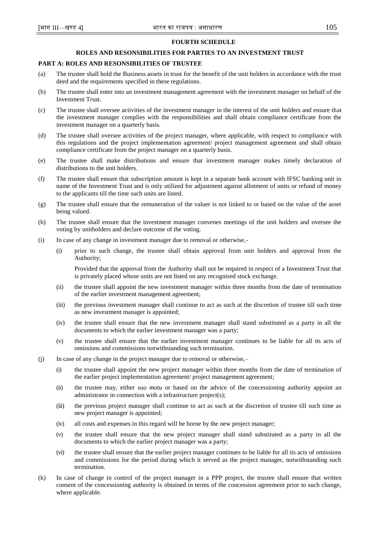### **FOURTH SCHEDULE**

# **ROLES AND RESONSIBILITIES FOR PARTIES TO AN INVESTMENT TRUST**

# **PART A: ROLES AND RESONSIBILITIES OF TRUSTEE**

- (a) The trustee shall hold the Business assets in trust for the benefit of the unit holders in accordance with the trust deed and the requirements specified in these regulations.
- (b) The trustee shall enter into an investment management agreement with the investment manager on behalf of the Investment Trust.
- (c) The trustee shall oversee activities of the investment manager in the interest of the unit holders and ensure that the investment manager complies with the responsibilities and shall obtain compliance certificate from the investment manager on a quarterly basis.
- (d) The trustee shall oversee activities of the project manager, where applicable, with respect to compliance with this regulations and the project implementation agreement/ project management agreement and shall obtain compliance certificate from the project manager on a quarterly basis.
- (e) The trustee shall make distributions and ensure that investment manager makes timely declaration of distributions to the unit holders.
- (f) The trustee shall ensure that subscription amount is kept in a separate bank account with IFSC banking unit in name of the Investment Trust and is only utilized for adjustment against allotment of units or refund of money to the applicants till the time such units are listed.
- (g) The trustee shall ensure that the remuneration of the valuer is not linked to or based on the value of the asset being valued.
- (h) The trustee shall ensure that the investment manager convenes meetings of the unit holders and oversee the voting by unitholders and declare outcome of the voting.
- (i) In case of any change in investment manager due to removal or otherwise,-
	- (i) prior to such change, the trustee shall obtain approval from unit holders and approval from the Authority;

Provided that the approval from the Authority shall not be required in respect of a Investment Trust that is privately placed whose units are not listed on any recognised stock exchange.

- (ii) the trustee shall appoint the new investment manager within three months from the date of termination of the earlier investment management agreement;
- (iii) the previous investment manager shall continue to act as such at the discretion of trustee till such time as new investment manager is appointed;
- (iv) the trustee shall ensure that the new investment manager shall stand substituted as a party in all the documents to which the earlier investment manager was a party;
- (v) the trustee shall ensure that the earlier investment manager continues to be liable for all its acts of omissions and commissions notwithstanding such termination.
- (j) In case of any change in the project manager due to removal or otherwise,–
	- (i) the trustee shall appoint the new project manager within three months from the date of termination of the earlier project implementation agreement/ project management agreement;
	- (ii) the trustee may, either *suo motu* or based on the advice of the concessioning authority appoint an administrator in connection with a infrastructure project(s);
	- (iii) the previous project manager shall continue to act as such at the discretion of trustee till such time as new project manager is appointed;
	- (iv) all costs and expenses in this regard will be borne by the new project manager;
	- (v) the trustee shall ensure that the new project manager shall stand substituted as a party in all the documents to which the earlier project manager was a party;
	- (vi) the trustee shall ensure that the earlier project manager continues to be liable for all its acts of omissions and commissions for the period during which it served as the project manager, notwithstanding such termination.
- (k) In case of change in control of the project manager in a PPP project, the trustee shall ensure that written consent of the concessioning authority is obtained in terms of the concession agreement prior to such change, where applicable.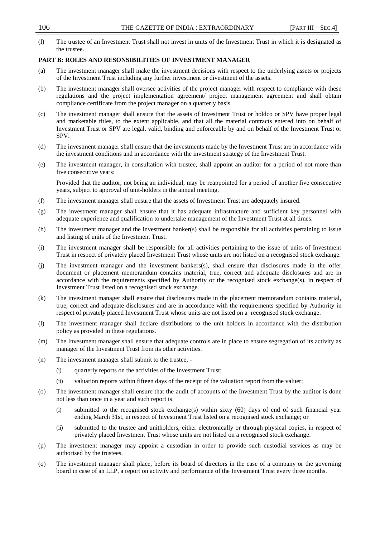(l) The trustee of an Investment Trust shall not invest in units of the Investment Trust in which it is designated as the trustee.

# **PART B: ROLES AND RESONSIBILITIES OF INVESTMENT MANAGER**

- (a) The investment manager shall make the investment decisions with respect to the underlying assets or projects of the Investment Trust including any further investment or divestment of the assets.
- (b) The investment manager shall oversee activities of the project manager with respect to compliance with these regulations and the project implementation agreement/ project management agreement and shall obtain compliance certificate from the project manager on a quarterly basis.
- (c) The investment manager shall ensure that the assets of Investment Trust or holdco or SPV have proper legal and marketable titles, to the extent applicable, and that all the material contracts entered into on behalf of Investment Trust or SPV are legal, valid, binding and enforceable by and on behalf of the Investment Trust or SPV.
- (d) The investment manager shall ensure that the investments made by the Investment Trust are in accordance with the investment conditions and in accordance with the investment strategy of the Investment Trust.
- (e) The investment manager, in consultation with trustee, shall appoint an auditor for a period of not more than five consecutive years:

Provided that the auditor, not being an individual, may be reappointed for a period of another five consecutive years, subject to approval of unit-holders in the annual meeting.

- (f) The investment manager shall ensure that the assets of Investment Trust are adequately insured.
- (g) The investment manager shall ensure that it has adequate infrastructure and sufficient key personnel with adequate experience and qualification to undertake management of the Investment Trust at all times.
- (h) The investment manager and the investment banker(s) shall be responsible for all activities pertaining to issue and listing of units of the Investment Trust.
- (i) The investment manager shall be responsible for all activities pertaining to the issue of units of Investment Trust in respect of privately placed Investment Trust whose units are not listed on a recognised stock exchange.
- (j) The investment manager and the investment bankers(s), shall ensure that disclosures made in the offer document or placement memorandum contains material, true, correct and adequate disclosures and are in accordance with the requirements specified by Authority or the recognised stock exchange(s), in respect of Investment Trust listed on a recognised stock exchange.
- (k) The investment manager shall ensure that disclosures made in the placement memorandum contains material, true, correct and adequate disclosures and are in accordance with the requirements specified by Authority in respect of privately placed Investment Trust whose units are not listed on a recognised stock exchange.
- (l) The investment manager shall declare distributions to the unit holders in accordance with the distribution policy as provided in these regulations.
- (m) The Investment manager shall ensure that adequate controls are in place to ensure segregation of its activity as manager of the Investment Trust from its other activities.
- (n) The investment manager shall submit to the trustee,
	- (i) quarterly reports on the activities of the Investment Trust;
	- (ii) valuation reports within fifteen days of the receipt of the valuation report from the valuer;
- (o) The investment manager shall ensure that the audit of accounts of the Investment Trust by the auditor is done not less than once in a year and such report is:
	- (i) submitted to the recognised stock exchange(s) within sixty (60) days of end of such financial year ending March 31st, in respect of Investment Trust listed on a recognised stock exchange; or
	- (ii) submitted to the trustee and unitholders, either electronically or through physical copies, in respect of privately placed Investment Trust whose units are not listed on a recognised stock exchange.
- (p) The investment manager may appoint a custodian in order to provide such custodial services as may be authorised by the trustees.
- (q) The investment manager shall place, before its board of directors in the case of a company or the governing board in case of an LLP, a report on activity and performance of the Investment Trust every three months.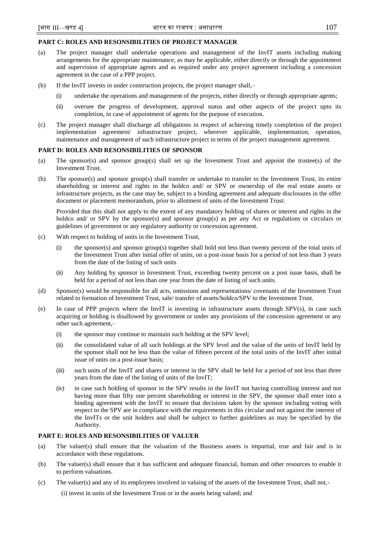# **PART C: ROLES AND RESONSIBILITIES OF PROJECT MANAGER**

- (a) The project manager shall undertake operations and management of the InvIT assets including making arrangements for the appropriate maintenance, as may be applicable, either directly or through the appointment and supervision of appropriate agents and as required under any project agreement including a concession agreement in the case of a PPP project.
- (b) If the InvIT invests in under construction projects, the project manager shall,–
	- (i) undertake the operations and management of the projects, either directly or through appropriate agents;
	- (ii) oversee the progress of development, approval status and other aspects of the project upto its completion, in case of appointment of agents for the purpose of execution.
- (c) The project manager shall discharge all obligations in respect of achieving timely completion of the project implementation agreement/ infrastructure project, wherever applicable, implementation, operation, maintenance and management of such infrastructure project in terms of the project management agreement.

# **PART D: ROLES AND RESONSIBILITIES OF SPONSOR**

- (a) The sponsor(s) and sponsor group(s) shall set up the Investment Trust and appoint the trustee(s) of the Investment Trust.
- (b) The sponsor(s) and sponsor group(s) shall transfer or undertake to transfer to the Investment Trust, its entire shareholding or interest and rights in the holdco and/ or SPV or ownership of the real estate assets or infrastructure projects, as the case may be, subject to a binding agreement and adequate disclosures in the offer document or placement memorandum, prior to allotment of units of the Investment Trust:

Provided that this shall not apply to the extent of any mandatory holding of shares or interest and rights in the holdco and/ or SPV by the sponsor(s) and sponsor group(s) as per any Act or regulations or circulars or guidelines of government or any regulatory authority or concession agreement.

- (c) With respect to holding of units in the Investment Trust,
	- (i) the sponsor(s) and sponsor group(s) together shall hold not less than twenty percent of the total units of the Investment Trust after initial offer of units, on a post-issue basis for a period of not less than 3 years from the date of the listing of such units
	- (ii) Any holding by sponsor in Investment Trust, exceeding twenty percent on a post issue basis, shall be held for a period of not less than one year from the date of listing of such units.
- (d) Sponsor(s) would be responsible for all acts, omissions and representations/ covenants of the Investment Trust related to formation of Investment Trust, sale/ transfer of assets/holdco/SPV to the Investment Trust.
- (e) In case of PPP projects where the InvIT is investing in infrastructure assets through SPV(s), in case such acquiring or holding is disallowed by government or under any provisions of the concession agreement or any other such agreement,–
	- (i) the sponsor may continue to maintain such holding at the SPV level;
	- (ii) the consolidated value of all such holdings at the SPV level and the value of the units of InvIT held by the sponsor shall not be less than the value of fifteen percent of the total units of the InvIT after initial issue of units on a post-issue basis;
	- (iii) such units of the InvIT and shares or interest in the SPV shall be held for a period of not less than three years from the date of the listing of units of the InvIT;
	- (iv) in case such holding of sponsor in the SPV results in the InvIT not having controlling interest and not having more than fifty one percent shareholding or interest in the SPV, the sponsor shall enter into a binding agreement with the InvIT to ensure that decisions taken by the sponsor including voting with respect to the SPV are in compliance with the requirements in this circular and not against the interest of the InvITs or the unit holders and shall be subject to further guidelines as may be specified by the Authority.

# **PART E: ROLES AND RESONSIBILITIES OF VALUER**

- (a) The valuer(s) shall ensure that the valuation of the Business assets is impartial, true and fair and is in accordance with these regulations.
- (b) The valuer(s) shall ensure that it has sufficient and adequate financial, human and other resources to enable it to perform valuations.
- (c) The valuer(s) and any of its employees involved in valuing of the assets of the Investment Trust, shall not,-

(i) invest in units of the Investment Trust or in the assets being valued; and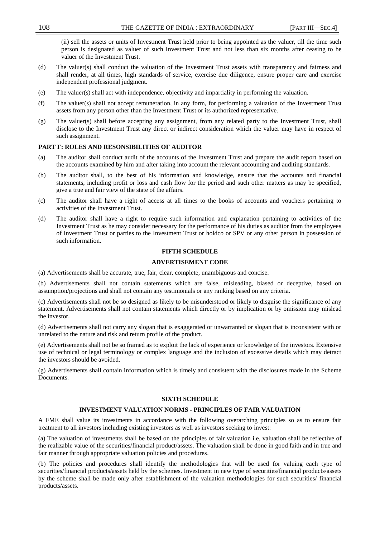(ii) sell the assets or units of Investment Trust held prior to being appointed as the valuer, till the time such person is designated as valuer of such Investment Trust and not less than six months after ceasing to be valuer of the Investment Trust.

- (d) The valuer(s) shall conduct the valuation of the Investment Trust assets with transparency and fairness and shall render, at all times, high standards of service, exercise due diligence, ensure proper care and exercise independent professional judgment.
- (e) The valuer(s) shall act with independence, objectivity and impartiality in performing the valuation.
- (f) The valuer(s) shall not accept remuneration, in any form, for performing a valuation of the Investment Trust assets from any person other than the Investment Trust or its authorized representative.
- (g) The valuer(s) shall before accepting any assignment, from any related party to the Investment Trust, shall disclose to the Investment Trust any direct or indirect consideration which the valuer may have in respect of such assignment.

### **PART F: ROLES AND RESONSIBILITIES OF AUDITOR**

- (a) The auditor shall conduct audit of the accounts of the Investment Trust and prepare the audit report based on the accounts examined by him and after taking into account the relevant accounting and auditing standards.
- (b) The auditor shall, to the best of his information and knowledge, ensure that the accounts and financial statements, including profit or loss and cash flow for the period and such other matters as may be specified, give a true and fair view of the state of the affairs.
- (c) The auditor shall have a right of access at all times to the books of accounts and vouchers pertaining to activities of the Investment Trust.
- (d) The auditor shall have a right to require such information and explanation pertaining to activities of the Investment Trust as he may consider necessary for the performance of his duties as auditor from the employees of Investment Trust or parties to the Investment Trust or holdco or SPV or any other person in possession of such information.

# **FIFTH SCHEDULE**

# **ADVERTISEMENT CODE**

(a) Advertisements shall be accurate, true, fair, clear, complete, unambiguous and concise.

(b) Advertisements shall not contain statements which are false, misleading, biased or deceptive, based on assumption/projections and shall not contain any testimonials or any ranking based on any criteria.

(c) Advertisements shall not be so designed as likely to be misunderstood or likely to disguise the significance of any statement. Advertisements shall not contain statements which directly or by implication or by omission may mislead the investor.

(d) Advertisements shall not carry any slogan that is exaggerated or unwarranted or slogan that is inconsistent with or unrelated to the nature and risk and return profile of the product.

(e) Advertisements shall not be so framed as to exploit the lack of experience or knowledge of the investors. Extensive use of technical or legal terminology or complex language and the inclusion of excessive details which may detract the investors should be avoided.

(g) Advertisements shall contain information which is timely and consistent with the disclosures made in the Scheme Documents.

#### **SIXTH SCHEDULE**

#### **INVESTMENT VALUATION NORMS - PRINCIPLES OF FAIR VALUATION**

A FME shall value its investments in accordance with the following overarching principles so as to ensure fair treatment to all investors including existing investors as well as investors seeking to invest:

(a) The valuation of investments shall be based on the principles of fair valuation i.e, valuation shall be reflective of the realizable value of the securities/financial product/assets. The valuation shall be done in good faith and in true and fair manner through appropriate valuation policies and procedures.

(b) The policies and procedures shall identify the methodologies that will be used for valuing each type of securities/financial products/assets held by the schemes. Investment in new type of securities/financial products/assets by the scheme shall be made only after establishment of the valuation methodologies for such securities/ financial products/assets.